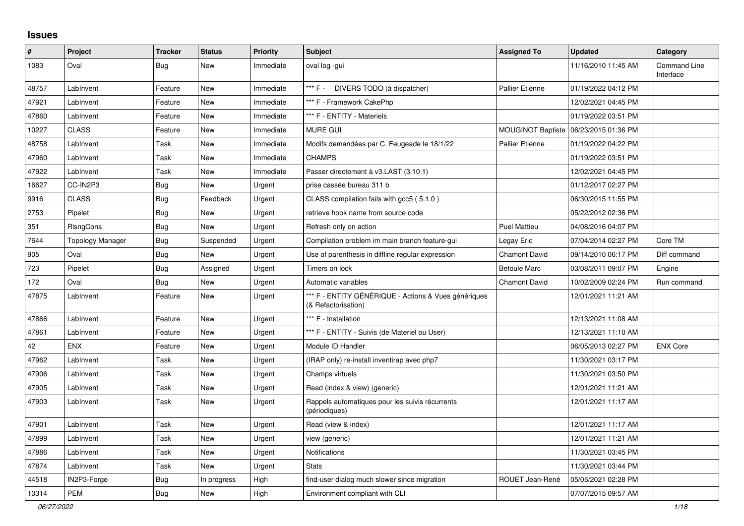## **Issues**

| $\pmb{\#}$ | Project          | <b>Tracker</b> | <b>Status</b> | <b>Priority</b> | <b>Subject</b>                                                              | <b>Assigned To</b>     | <b>Updated</b>      | Category                         |
|------------|------------------|----------------|---------------|-----------------|-----------------------------------------------------------------------------|------------------------|---------------------|----------------------------------|
| 1083       | Oval             | Bug            | New           | Immediate       | oval log -gui                                                               |                        | 11/16/2010 11:45 AM | <b>Command Line</b><br>Interface |
| 48757      | LabInvent        | Feature        | <b>New</b>    | Immediate       | *** F - DIVERS TODO (à dispatcher)                                          | <b>Pallier Etienne</b> | 01/19/2022 04:12 PM |                                  |
| 47921      | LabInvent        | Feature        | <b>New</b>    | Immediate       | *** F - Framework CakePhp                                                   |                        | 12/02/2021 04:45 PM |                                  |
| 47860      | LabInvent        | Feature        | New           | Immediate       | *** F - ENTITY - Materiels                                                  |                        | 01/19/2022 03:51 PM |                                  |
| 10227      | <b>CLASS</b>     | Feature        | <b>New</b>    | Immediate       | MURE GUI                                                                    | MOUGINOT Baptiste      | 06/23/2015 01:36 PM |                                  |
| 48758      | LabInvent        | Task           | New           | Immediate       | Modifs demandées par C. Feugeade le 18/1/22                                 | <b>Pallier Etienne</b> | 01/19/2022 04:22 PM |                                  |
| 47960      | LabInvent        | Task           | <b>New</b>    | Immediate       | <b>CHAMPS</b>                                                               |                        | 01/19/2022 03:51 PM |                                  |
| 47922      | LabInvent        | Task           | <b>New</b>    | Immediate       | Passer directement à v3.LAST (3.10.1)                                       |                        | 12/02/2021 04:45 PM |                                  |
| 16627      | CC-IN2P3         | Bug            | <b>New</b>    | Urgent          | prise cassée bureau 311 b                                                   |                        | 01/12/2017 02:27 PM |                                  |
| 9916       | <b>CLASS</b>     | <b>Bug</b>     | Feedback      | Urgent          | CLASS compilation fails with gcc5 (5.1.0)                                   |                        | 06/30/2015 11:55 PM |                                  |
| 2753       | Pipelet          | Bug            | <b>New</b>    | Urgent          | retrieve hook name from source code                                         |                        | 05/22/2012 02:36 PM |                                  |
| 351        | RIsngCons        | <b>Bug</b>     | <b>New</b>    | Urgent          | Refresh only on action                                                      | Puel Mattieu           | 04/08/2016 04:07 PM |                                  |
| 7644       | Topology Manager | <b>Bug</b>     | Suspended     | Urgent          | Compilation problem im main branch feature-gui                              | Legay Eric             | 07/04/2014 02:27 PM | Core TM                          |
| 905        | Oval             | <b>Bug</b>     | <b>New</b>    | Urgent          | Use of parenthesis in diffline regular expression                           | <b>Chamont David</b>   | 09/14/2010 06:17 PM | Diff command                     |
| 723        | Pipelet          | Bug            | Assigned      | Urgent          | Timers on lock                                                              | <b>Betoule Marc</b>    | 03/08/2011 09:07 PM | Engine                           |
| 172        | Oval             | Bug            | <b>New</b>    | Urgent          | Automatic variables                                                         | <b>Chamont David</b>   | 10/02/2009 02:24 PM | Run command                      |
| 47875      | LabInvent        | Feature        | New           | Urgent          | *** F - ENTITY GÉNÉRIQUE - Actions & Vues génériques<br>(& Refactorisation) |                        | 12/01/2021 11:21 AM |                                  |
| 47866      | LabInvent        | Feature        | <b>New</b>    | Urgent          | *** F - Installation                                                        |                        | 12/13/2021 11:08 AM |                                  |
| 47861      | LabInvent        | Feature        | New           | Urgent          | *** F - ENTITY - Suivis (de Materiel ou User)                               |                        | 12/13/2021 11:10 AM |                                  |
| 42         | <b>ENX</b>       | Feature        | <b>New</b>    | Urgent          | Module ID Handler                                                           |                        | 06/05/2013 02:27 PM | <b>ENX Core</b>                  |
| 47962      | LabInvent        | Task           | <b>New</b>    | Urgent          | (IRAP only) re-install inventirap avec php7                                 |                        | 11/30/2021 03:17 PM |                                  |
| 47906      | LabInvent        | Task           | <b>New</b>    | Urgent          | Champs virtuels                                                             |                        | 11/30/2021 03:50 PM |                                  |
| 47905      | LabInvent        | Task           | New           | Urgent          | Read (index & view) (generic)                                               |                        | 12/01/2021 11:21 AM |                                  |
| 47903      | LabInvent        | Task           | <b>New</b>    | Urgent          | Rappels automatiques pour les suivis récurrents<br>(périodiques)            |                        | 12/01/2021 11:17 AM |                                  |
| 47901      | LabInvent        | Task           | <b>New</b>    | Urgent          | Read (view & index)                                                         |                        | 12/01/2021 11:17 AM |                                  |
| 47899      | LabInvent        | Task           | <b>New</b>    | Urgent          | view (generic)                                                              |                        | 12/01/2021 11:21 AM |                                  |
| 47886      | LabInvent        | Task           | <b>New</b>    | Urgent          | <b>Notifications</b>                                                        |                        | 11/30/2021 03:45 PM |                                  |
| 47874      | LabInvent        | Task           | <b>New</b>    | Urgent          | <b>Stats</b>                                                                |                        | 11/30/2021 03:44 PM |                                  |
| 44518      | IN2P3-Forge      | Bug            | In progress   | High            | find-user dialog much slower since migration                                | ROUET Jean-René        | 05/05/2021 02:28 PM |                                  |
| 10314      | <b>PEM</b>       | <b>Bug</b>     | <b>New</b>    | High            | Environment compliant with CLI                                              |                        | 07/07/2015 09:57 AM |                                  |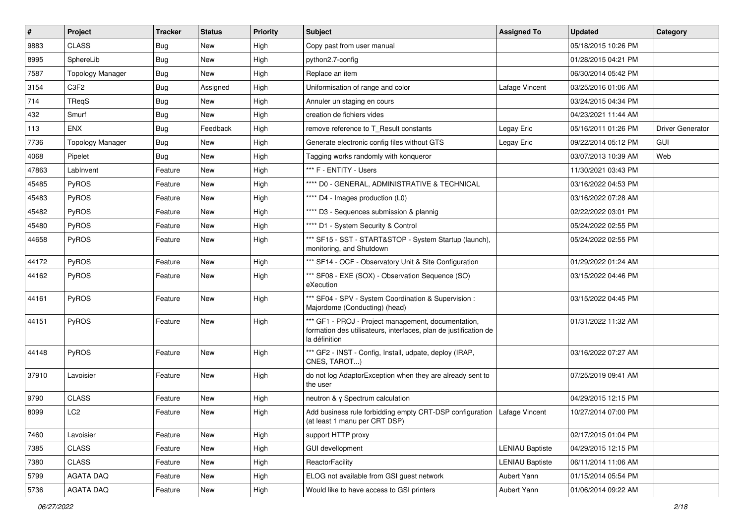| $\sharp$ | Project                 | <b>Tracker</b> | <b>Status</b> | <b>Priority</b> | <b>Subject</b>                                                                                                                           | <b>Assigned To</b>     | <b>Updated</b>      | Category         |
|----------|-------------------------|----------------|---------------|-----------------|------------------------------------------------------------------------------------------------------------------------------------------|------------------------|---------------------|------------------|
| 9883     | <b>CLASS</b>            | <b>Bug</b>     | New           | High            | Copy past from user manual                                                                                                               |                        | 05/18/2015 10:26 PM |                  |
| 8995     | SphereLib               | <b>Bug</b>     | New           | High            | python2.7-config                                                                                                                         |                        | 01/28/2015 04:21 PM |                  |
| 7587     | <b>Topology Manager</b> | <b>Bug</b>     | New           | High            | Replace an item                                                                                                                          |                        | 06/30/2014 05:42 PM |                  |
| 3154     | C3F2                    | <b>Bug</b>     | Assigned      | High            | Uniformisation of range and color                                                                                                        | Lafage Vincent         | 03/25/2016 01:06 AM |                  |
| 714      | TReaS                   | <b>Bug</b>     | New           | High            | Annuler un staging en cours                                                                                                              |                        | 03/24/2015 04:34 PM |                  |
| 432      | Smurf                   | <b>Bug</b>     | New           | High            | creation de fichiers vides                                                                                                               |                        | 04/23/2021 11:44 AM |                  |
| 113      | <b>ENX</b>              | Bug            | Feedback      | High            | remove reference to T_Result constants                                                                                                   | Legay Eric             | 05/16/2011 01:26 PM | Driver Generator |
| 7736     | <b>Topology Manager</b> | Bug            | New           | High            | Generate electronic config files without GTS                                                                                             | Legay Eric             | 09/22/2014 05:12 PM | <b>GUI</b>       |
| 4068     | Pipelet                 | <b>Bug</b>     | New           | High            | Tagging works randomly with konqueror                                                                                                    |                        | 03/07/2013 10:39 AM | Web              |
| 47863    | LabInvent               | Feature        | New           | High            | *** F - ENTITY - Users                                                                                                                   |                        | 11/30/2021 03:43 PM |                  |
| 45485    | PyROS                   | Feature        | New           | High            | **** D0 - GENERAL, ADMINISTRATIVE & TECHNICAL                                                                                            |                        | 03/16/2022 04:53 PM |                  |
| 45483    | PyROS                   | Feature        | New           | High            | **** D4 - Images production (L0)                                                                                                         |                        | 03/16/2022 07:28 AM |                  |
| 45482    | PyROS                   | Feature        | New           | High            | **** D3 - Sequences submission & plannig                                                                                                 |                        | 02/22/2022 03:01 PM |                  |
| 45480    | PyROS                   | Feature        | New           | High            | **** D1 - System Security & Control                                                                                                      |                        | 05/24/2022 02:55 PM |                  |
| 44658    | PyROS                   | Feature        | New           | High            | *** SF15 - SST - START&STOP - System Startup (launch),<br>monitoring, and Shutdown                                                       |                        | 05/24/2022 02:55 PM |                  |
| 44172    | PyROS                   | Feature        | New           | High            | *** SF14 - OCF - Observatory Unit & Site Configuration                                                                                   |                        | 01/29/2022 01:24 AM |                  |
| 44162    | PyROS                   | Feature        | <b>New</b>    | High            | *** SF08 - EXE (SOX) - Observation Sequence (SO)<br>eXecution                                                                            |                        | 03/15/2022 04:46 PM |                  |
| 44161    | PyROS                   | Feature        | New           | High            | *** SF04 - SPV - System Coordination & Supervision :<br>Majordome (Conducting) (head)                                                    |                        | 03/15/2022 04:45 PM |                  |
| 44151    | PyROS                   | Feature        | New           | High            | *** GF1 - PROJ - Project management, documentation,<br>formation des utilisateurs, interfaces, plan de justification de<br>la définition |                        | 01/31/2022 11:32 AM |                  |
| 44148    | PyROS                   | Feature        | New           | High            | *** GF2 - INST - Config, Install, udpate, deploy (IRAP,<br>CNES, TAROT)                                                                  |                        | 03/16/2022 07:27 AM |                  |
| 37910    | Lavoisier               | Feature        | New           | High            | do not log AdaptorException when they are already sent to<br>the user                                                                    |                        | 07/25/2019 09:41 AM |                  |
| 9790     | <b>CLASS</b>            | Feature        | New           | High            | neutron & γ Spectrum calculation                                                                                                         |                        | 04/29/2015 12:15 PM |                  |
| 8099     | LC <sub>2</sub>         | Feature        | New           | High            | Add business rule forbidding empty CRT-DSP configuration<br>(at least 1 manu per CRT DSP)                                                | Lafage Vincent         | 10/27/2014 07:00 PM |                  |
| 7460     | Lavoisier               | Feature        | New           | High            | support HTTP proxy                                                                                                                       |                        | 02/17/2015 01:04 PM |                  |
| 7385     | <b>CLASS</b>            | Feature        | New           | High            | <b>GUI devellopment</b>                                                                                                                  | <b>LENIAU Baptiste</b> | 04/29/2015 12:15 PM |                  |
| 7380     | <b>CLASS</b>            | Feature        | New           | High            | ReactorFacility                                                                                                                          | <b>LENIAU Baptiste</b> | 06/11/2014 11:06 AM |                  |
| 5799     | AGATA DAQ               | Feature        | New           | High            | ELOG not available from GSI guest network                                                                                                | Aubert Yann            | 01/15/2014 05:54 PM |                  |
| 5736     | AGATA DAQ               | Feature        | New           | High            | Would like to have access to GSI printers                                                                                                | Aubert Yann            | 01/06/2014 09:22 AM |                  |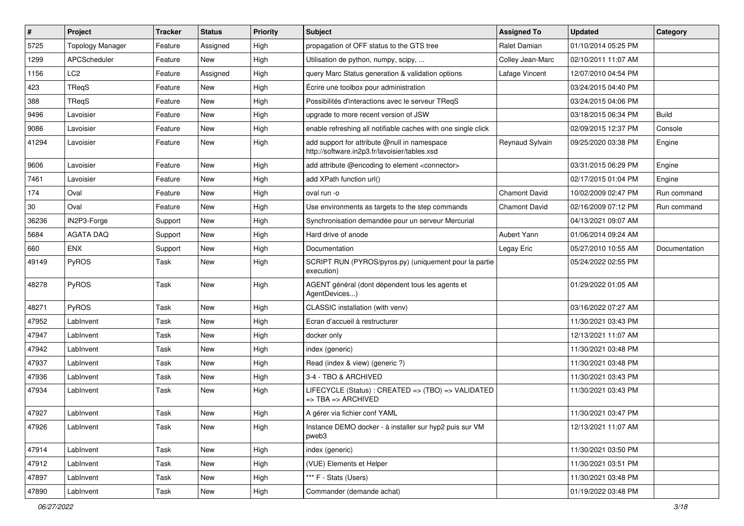| $\sharp$ | Project                 | <b>Tracker</b> | <b>Status</b> | <b>Priority</b> | Subject                                                                                       | <b>Assigned To</b>   | <b>Updated</b>      | Category      |
|----------|-------------------------|----------------|---------------|-----------------|-----------------------------------------------------------------------------------------------|----------------------|---------------------|---------------|
| 5725     | <b>Topology Manager</b> | Feature        | Assigned      | High            | propagation of OFF status to the GTS tree                                                     | Ralet Damian         | 01/10/2014 05:25 PM |               |
| 1299     | APCScheduler            | Feature        | New           | High            | Utilisation de python, numpy, scipy,                                                          | Colley Jean-Marc     | 02/10/2011 11:07 AM |               |
| 1156     | LC2                     | Feature        | Assigned      | High            | query Marc Status generation & validation options                                             | Lafage Vincent       | 12/07/2010 04:54 PM |               |
| 423      | TReqS                   | Feature        | New           | High            | Écrire une toolbox pour administration                                                        |                      | 03/24/2015 04:40 PM |               |
| 388      | TRegS                   | Feature        | <b>New</b>    | High            | Possibilités d'interactions avec le serveur TReqS                                             |                      | 03/24/2015 04:06 PM |               |
| 9496     | Lavoisier               | Feature        | New           | High            | upgrade to more recent version of JSW                                                         |                      | 03/18/2015 06:34 PM | <b>Build</b>  |
| 9086     | Lavoisier               | Feature        | <b>New</b>    | High            | enable refreshing all notifiable caches with one single click                                 |                      | 02/09/2015 12:37 PM | Console       |
| 41294    | Lavoisier               | Feature        | New           | High            | add support for attribute @null in namespace<br>http://software.in2p3.fr/lavoisier/tables.xsd | Reynaud Sylvain      | 09/25/2020 03:38 PM | Engine        |
| 9606     | Lavoisier               | Feature        | New           | High            | add attribute @encoding to element <connector></connector>                                    |                      | 03/31/2015 06:29 PM | Engine        |
| 7461     | Lavoisier               | Feature        | <b>New</b>    | High            | add XPath function url()                                                                      |                      | 02/17/2015 01:04 PM | Engine        |
| 174      | Oval                    | Feature        | New           | High            | oval run -o                                                                                   | <b>Chamont David</b> | 10/02/2009 02:47 PM | Run command   |
| 30       | Oval                    | Feature        | <b>New</b>    | High            | Use environments as targets to the step commands                                              | <b>Chamont David</b> | 02/16/2009 07:12 PM | Run command   |
| 36236    | IN2P3-Forge             | Support        | New           | High            | Synchronisation demandée pour un serveur Mercurial                                            |                      | 04/13/2021 09:07 AM |               |
| 5684     | <b>AGATA DAQ</b>        | Support        | New           | High            | Hard drive of anode                                                                           | Aubert Yann          | 01/06/2014 09:24 AM |               |
| 660      | <b>ENX</b>              | Support        | New           | High            | Documentation                                                                                 | Legay Eric           | 05/27/2010 10:55 AM | Documentation |
| 49149    | PyROS                   | Task           | New           | High            | SCRIPT RUN (PYROS/pyros.py) (uniquement pour la partie<br>execution)                          |                      | 05/24/2022 02:55 PM |               |
| 48278    | PyROS                   | Task           | <b>New</b>    | High            | AGENT général (dont dépendent tous les agents et<br>AgentDevices)                             |                      | 01/29/2022 01:05 AM |               |
| 48271    | PyROS                   | Task           | <b>New</b>    | High            | CLASSIC installation (with venv)                                                              |                      | 03/16/2022 07:27 AM |               |
| 47952    | LabInvent               | Task           | <b>New</b>    | High            | Ecran d'accueil à restructurer                                                                |                      | 11/30/2021 03:43 PM |               |
| 47947    | LabInvent               | Task           | <b>New</b>    | High            | docker only                                                                                   |                      | 12/13/2021 11:07 AM |               |
| 47942    | LabInvent               | Task           | <b>New</b>    | High            | index (generic)                                                                               |                      | 11/30/2021 03:48 PM |               |
| 47937    | LabInvent               | Task           | New           | High            | Read (index & view) (generic ?)                                                               |                      | 11/30/2021 03:48 PM |               |
| 47936    | LabInvent               | Task           | <b>New</b>    | High            | 3-4 - TBO & ARCHIVED                                                                          |                      | 11/30/2021 03:43 PM |               |
| 47934    | LabInvent               | Task           | New           | High            | LIFECYCLE (Status): CREATED => (TBO) => VALIDATED<br>=> TBA => ARCHIVED                       |                      | 11/30/2021 03:43 PM |               |
| 47927    | LabInvent               | Task           | New           | High            | A gérer via fichier conf YAML                                                                 |                      | 11/30/2021 03:47 PM |               |
| 47926    | LabInvent               | Task           | New           | High            | Instance DEMO docker - à installer sur hyp2 puis sur VM<br>pweb3                              |                      | 12/13/2021 11:07 AM |               |
| 47914    | LabInvent               | Task           | New           | High            | index (generic)                                                                               |                      | 11/30/2021 03:50 PM |               |
| 47912    | LabInvent               | Task           | New           | High            | (VUE) Elements et Helper                                                                      |                      | 11/30/2021 03:51 PM |               |
| 47897    | LabInvent               | Task           | New           | High            | *** F - Stats (Users)                                                                         |                      | 11/30/2021 03:48 PM |               |
| 47890    | LabInvent               | Task           | New           | High            | Commander (demande achat)                                                                     |                      | 01/19/2022 03:48 PM |               |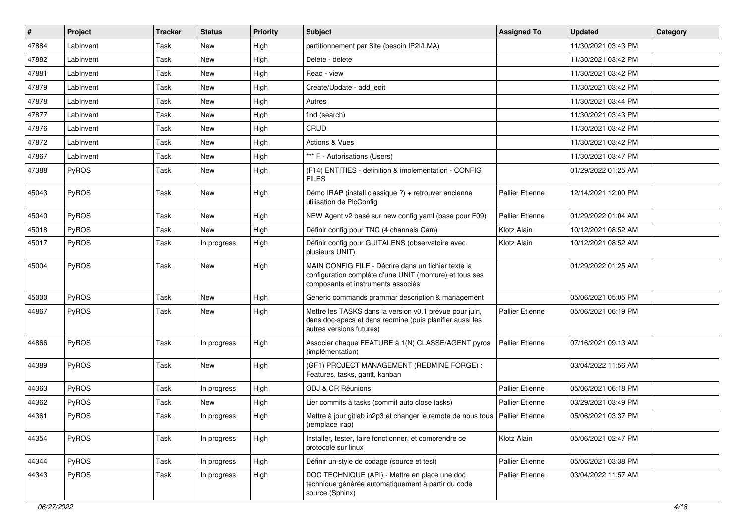| $\vert$ # | Project      | <b>Tracker</b> | <b>Status</b> | <b>Priority</b> | Subject                                                                                                                                              | <b>Assigned To</b>     | <b>Updated</b>      | Category |
|-----------|--------------|----------------|---------------|-----------------|------------------------------------------------------------------------------------------------------------------------------------------------------|------------------------|---------------------|----------|
| 47884     | LabInvent    | Task           | New           | High            | partitionnement par Site (besoin IP2I/LMA)                                                                                                           |                        | 11/30/2021 03:43 PM |          |
| 47882     | LabInvent    | Task           | <b>New</b>    | High            | Delete - delete                                                                                                                                      |                        | 11/30/2021 03:42 PM |          |
| 47881     | LabInvent    | Task           | New           | High            | Read - view                                                                                                                                          |                        | 11/30/2021 03:42 PM |          |
| 47879     | LabInvent    | Task           | New           | High            | Create/Update - add edit                                                                                                                             |                        | 11/30/2021 03:42 PM |          |
| 47878     | Lablnvent    | Task           | New           | High            | Autres                                                                                                                                               |                        | 11/30/2021 03:44 PM |          |
| 47877     | LabInvent    | Task           | New           | High            | find (search)                                                                                                                                        |                        | 11/30/2021 03:43 PM |          |
| 47876     | LabInvent    | Task           | <b>New</b>    | High            | CRUD                                                                                                                                                 |                        | 11/30/2021 03:42 PM |          |
| 47872     | LabInvent    | Task           | New           | High            | Actions & Vues                                                                                                                                       |                        | 11/30/2021 03:42 PM |          |
| 47867     | LabInvent    | Task           | New           | High            | *** F - Autorisations (Users)                                                                                                                        |                        | 11/30/2021 03:47 PM |          |
| 47388     | PyROS        | Task           | New           | High            | (F14) ENTITIES - definition & implementation - CONFIG<br><b>FILES</b>                                                                                |                        | 01/29/2022 01:25 AM |          |
| 45043     | PyROS        | Task           | New           | High            | Démo IRAP (install classique ?) + retrouver ancienne<br>utilisation de PlcConfig                                                                     | <b>Pallier Etienne</b> | 12/14/2021 12:00 PM |          |
| 45040     | <b>PyROS</b> | Task           | New           | High            | NEW Agent v2 basé sur new config yaml (base pour F09)                                                                                                | <b>Pallier Etienne</b> | 01/29/2022 01:04 AM |          |
| 45018     | PyROS        | Task           | New           | High            | Définir config pour TNC (4 channels Cam)                                                                                                             | Klotz Alain            | 10/12/2021 08:52 AM |          |
| 45017     | <b>PyROS</b> | Task           | In progress   | High            | Définir config pour GUITALENS (observatoire avec<br>plusieurs UNIT)                                                                                  | Klotz Alain            | 10/12/2021 08:52 AM |          |
| 45004     | PyROS        | Task           | New           | High            | MAIN CONFIG FILE - Décrire dans un fichier texte la<br>configuration complète d'une UNIT (monture) et tous ses<br>composants et instruments associés |                        | 01/29/2022 01:25 AM |          |
| 45000     | PyROS        | Task           | New           | High            | Generic commands grammar description & management                                                                                                    |                        | 05/06/2021 05:05 PM |          |
| 44867     | <b>PyROS</b> | Task           | New           | High            | Mettre les TASKS dans la version v0.1 prévue pour juin,<br>dans doc-specs et dans redmine (puis planifier aussi les<br>autres versions futures)      | <b>Pallier Etienne</b> | 05/06/2021 06:19 PM |          |
| 44866     | PyROS        | Task           | In progress   | High            | Associer chaque FEATURE à 1(N) CLASSE/AGENT pyros<br>(implémentation)                                                                                | <b>Pallier Etienne</b> | 07/16/2021 09:13 AM |          |
| 44389     | <b>PyROS</b> | Task           | <b>New</b>    | High            | (GF1) PROJECT MANAGEMENT (REDMINE FORGE) :<br>Features, tasks, gantt, kanban                                                                         |                        | 03/04/2022 11:56 AM |          |
| 44363     | PyROS        | Task           | In progress   | High            | ODJ & CR Réunions                                                                                                                                    | <b>Pallier Etienne</b> | 05/06/2021 06:18 PM |          |
| 44362     | PyROS        | Task           | New           | High            | Lier commits à tasks (commit auto close tasks)                                                                                                       | <b>Pallier Etienne</b> | 03/29/2021 03:49 PM |          |
| 44361     | PyROS        | Task           | In progress   | High            | Mettre à jour gitlab in2p3 et changer le remote de nous tous<br>(remplace irap)                                                                      | <b>Pallier Etienne</b> | 05/06/2021 03:37 PM |          |
| 44354     | PyROS        | Task           | In progress   | High            | Installer, tester, faire fonctionner, et comprendre ce<br>protocole sur linux                                                                        | Klotz Alain            | 05/06/2021 02:47 PM |          |
| 44344     | PyROS        | Task           | In progress   | High            | Définir un style de codage (source et test)                                                                                                          | Pallier Etienne        | 05/06/2021 03:38 PM |          |
| 44343     | PyROS        | Task           | In progress   | High            | DOC TECHNIQUE (API) - Mettre en place une doc<br>technique générée automatiquement à partir du code<br>source (Sphinx)                               | Pallier Etienne        | 03/04/2022 11:57 AM |          |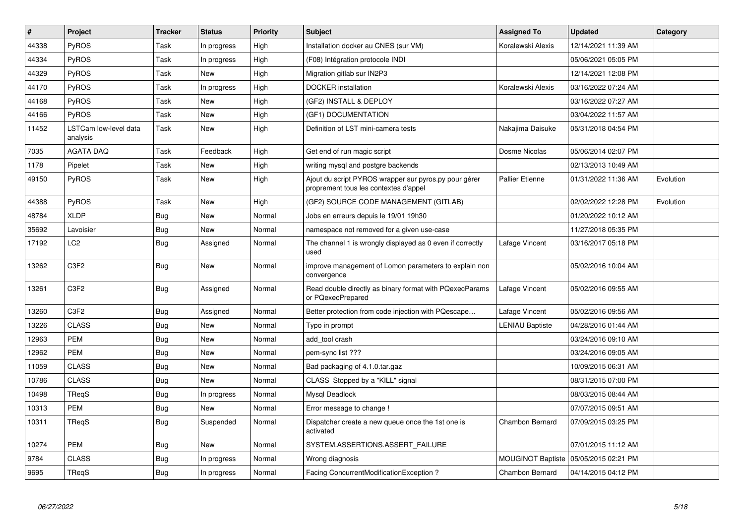| $\vert$ # | Project                           | <b>Tracker</b> | <b>Status</b> | <b>Priority</b> | <b>Subject</b>                                                                                 | <b>Assigned To</b>       | <b>Updated</b>      | Category  |
|-----------|-----------------------------------|----------------|---------------|-----------------|------------------------------------------------------------------------------------------------|--------------------------|---------------------|-----------|
| 44338     | PyROS                             | Task           | In progress   | High            | Installation docker au CNES (sur VM)                                                           | Koralewski Alexis        | 12/14/2021 11:39 AM |           |
| 44334     | PyROS                             | Task           | In progress   | High            | (F08) Intégration protocole INDI                                                               |                          | 05/06/2021 05:05 PM |           |
| 44329     | PyROS                             | Task           | <b>New</b>    | High            | Migration gitlab sur IN2P3                                                                     |                          | 12/14/2021 12:08 PM |           |
| 44170     | <b>PyROS</b>                      | Task           | In progress   | High            | <b>DOCKER</b> installation                                                                     | Koralewski Alexis        | 03/16/2022 07:24 AM |           |
| 44168     | PyROS                             | Task           | <b>New</b>    | High            | (GF2) INSTALL & DEPLOY                                                                         |                          | 03/16/2022 07:27 AM |           |
| 44166     | PyROS                             | Task           | <b>New</b>    | High            | (GF1) DOCUMENTATION                                                                            |                          | 03/04/2022 11:57 AM |           |
| 11452     | LSTCam low-level data<br>analysis | Task           | New           | High            | Definition of LST mini-camera tests                                                            | Nakajima Daisuke         | 05/31/2018 04:54 PM |           |
| 7035      | <b>AGATA DAQ</b>                  | Task           | Feedback      | High            | Get end of run magic script                                                                    | Dosme Nicolas            | 05/06/2014 02:07 PM |           |
| 1178      | Pipelet                           | Task           | New           | High            | writing mysql and postgre backends                                                             |                          | 02/13/2013 10:49 AM |           |
| 49150     | PyROS                             | Task           | <b>New</b>    | High            | Ajout du script PYROS wrapper sur pyros.py pour gérer<br>proprement tous les contextes d'appel | <b>Pallier Etienne</b>   | 01/31/2022 11:36 AM | Evolution |
| 44388     | PyROS                             | Task           | New           | High            | (GF2) SOURCE CODE MANAGEMENT (GITLAB)                                                          |                          | 02/02/2022 12:28 PM | Evolution |
| 48784     | <b>XLDP</b>                       | Bug            | <b>New</b>    | Normal          | Jobs en erreurs depuis le 19/01 19h30                                                          |                          | 01/20/2022 10:12 AM |           |
| 35692     | Lavoisier                         | <b>Bug</b>     | <b>New</b>    | Normal          | namespace not removed for a given use-case                                                     |                          | 11/27/2018 05:35 PM |           |
| 17192     | LC <sub>2</sub>                   | Bug            | Assigned      | Normal          | The channel 1 is wrongly displayed as 0 even if correctly<br>used                              | Lafage Vincent           | 03/16/2017 05:18 PM |           |
| 13262     | C <sub>3</sub> F <sub>2</sub>     | Bug            | <b>New</b>    | Normal          | improve management of Lomon parameters to explain non<br>convergence                           |                          | 05/02/2016 10:04 AM |           |
| 13261     | C <sub>3F2</sub>                  | Bug            | Assigned      | Normal          | Read double directly as binary format with PQexecParams<br>or PQexecPrepared                   | Lafage Vincent           | 05/02/2016 09:55 AM |           |
| 13260     | C <sub>3</sub> F <sub>2</sub>     | Bug            | Assigned      | Normal          | Better protection from code injection with PQescape                                            | Lafage Vincent           | 05/02/2016 09:56 AM |           |
| 13226     | <b>CLASS</b>                      | <b>Bug</b>     | New           | Normal          | Typo in prompt                                                                                 | <b>LENIAU Baptiste</b>   | 04/28/2016 01:44 AM |           |
| 12963     | <b>PEM</b>                        | Bug            | <b>New</b>    | Normal          | add tool crash                                                                                 |                          | 03/24/2016 09:10 AM |           |
| 12962     | <b>PEM</b>                        | <b>Bug</b>     | <b>New</b>    | Normal          | pem-sync list ???                                                                              |                          | 03/24/2016 09:05 AM |           |
| 11059     | <b>CLASS</b>                      | <b>Bug</b>     | New           | Normal          | Bad packaging of 4.1.0.tar.gaz                                                                 |                          | 10/09/2015 06:31 AM |           |
| 10786     | <b>CLASS</b>                      | <b>Bug</b>     | New           | Normal          | CLASS Stopped by a "KILL" signal                                                               |                          | 08/31/2015 07:00 PM |           |
| 10498     | <b>TRegS</b>                      | Bug            | In progress   | Normal          | Mysql Deadlock                                                                                 |                          | 08/03/2015 08:44 AM |           |
| 10313     | <b>PEM</b>                        | <b>Bug</b>     | <b>New</b>    | Normal          | Error message to change !                                                                      |                          | 07/07/2015 09:51 AM |           |
| 10311     | TReqS                             | Bug            | Suspended     | Normal          | Dispatcher create a new queue once the 1st one is<br>activated                                 | Chambon Bernard          | 07/09/2015 03:25 PM |           |
| 10274     | <b>PEM</b>                        | <b>Bug</b>     | <b>New</b>    | Normal          | SYSTEM.ASSERTIONS.ASSERT FAILURE                                                               |                          | 07/01/2015 11:12 AM |           |
| 9784      | <b>CLASS</b>                      | <b>Bug</b>     | In progress   | Normal          | Wrong diagnosis                                                                                | <b>MOUGINOT Baptiste</b> | 05/05/2015 02:21 PM |           |
| 9695      | TReaS                             | <b>Bug</b>     | In progress   | Normal          | Facing ConcurrentModificationException?                                                        | Chambon Bernard          | 04/14/2015 04:12 PM |           |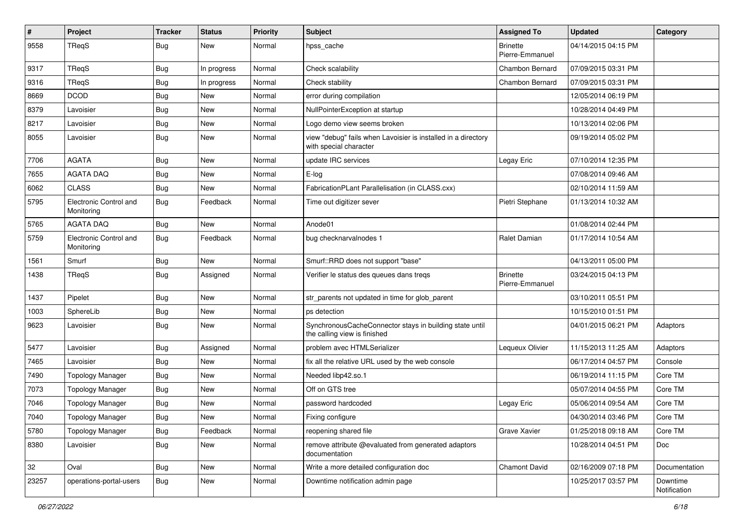| $\sharp$ | Project                              | <b>Tracker</b> | <b>Status</b> | <b>Priority</b> | Subject                                                                                 | <b>Assigned To</b>                 | <b>Updated</b>      | Category                 |
|----------|--------------------------------------|----------------|---------------|-----------------|-----------------------------------------------------------------------------------------|------------------------------------|---------------------|--------------------------|
| 9558     | TReqS                                | Bug            | New           | Normal          | hpss_cache                                                                              | <b>Brinette</b><br>Pierre-Emmanuel | 04/14/2015 04:15 PM |                          |
| 9317     | TReqS                                | Bug            | In progress   | Normal          | Check scalability                                                                       | Chambon Bernard                    | 07/09/2015 03:31 PM |                          |
| 9316     | TReqS                                | <b>Bug</b>     | In progress   | Normal          | Check stability                                                                         | Chambon Bernard                    | 07/09/2015 03:31 PM |                          |
| 8669     | <b>DCOD</b>                          | Bug            | New           | Normal          | error during compilation                                                                |                                    | 12/05/2014 06:19 PM |                          |
| 8379     | Lavoisier                            | <b>Bug</b>     | New           | Normal          | NullPointerException at startup                                                         |                                    | 10/28/2014 04:49 PM |                          |
| 8217     | Lavoisier                            | <b>Bug</b>     | New           | Normal          | Logo demo view seems broken                                                             |                                    | 10/13/2014 02:06 PM |                          |
| 8055     | Lavoisier                            | <b>Bug</b>     | New           | Normal          | view "debug" fails when Lavoisier is installed in a directory<br>with special character |                                    | 09/19/2014 05:02 PM |                          |
| 7706     | <b>AGATA</b>                         | <b>Bug</b>     | New           | Normal          | update IRC services                                                                     | Legay Eric                         | 07/10/2014 12:35 PM |                          |
| 7655     | <b>AGATA DAQ</b>                     | <b>Bug</b>     | New           | Normal          | E-log                                                                                   |                                    | 07/08/2014 09:46 AM |                          |
| 6062     | <b>CLASS</b>                         | <b>Bug</b>     | New           | Normal          | FabricationPLant Parallelisation (in CLASS.cxx)                                         |                                    | 02/10/2014 11:59 AM |                          |
| 5795     | Electronic Control and<br>Monitoring | <b>Bug</b>     | Feedback      | Normal          | Time out digitizer sever                                                                | Pietri Stephane                    | 01/13/2014 10:32 AM |                          |
| 5765     | <b>AGATA DAQ</b>                     | Bug            | New           | Normal          | Anode01                                                                                 |                                    | 01/08/2014 02:44 PM |                          |
| 5759     | Electronic Control and<br>Monitoring | Bug            | Feedback      | Normal          | bug checknarvalnodes 1                                                                  | Ralet Damian                       | 01/17/2014 10:54 AM |                          |
| 1561     | Smurf                                | Bug            | New           | Normal          | Smurf::RRD does not support "base"                                                      |                                    | 04/13/2011 05:00 PM |                          |
| 1438     | TReqS                                | Bug            | Assigned      | Normal          | Verifier le status des queues dans tregs                                                | <b>Brinette</b><br>Pierre-Emmanuel | 03/24/2015 04:13 PM |                          |
| 1437     | Pipelet                              | Bug            | New           | Normal          | str_parents not updated in time for glob_parent                                         |                                    | 03/10/2011 05:51 PM |                          |
| 1003     | SphereLib                            | <b>Bug</b>     | New           | Normal          | ps detection                                                                            |                                    | 10/15/2010 01:51 PM |                          |
| 9623     | Lavoisier                            | <b>Bug</b>     | New           | Normal          | SynchronousCacheConnector stays in building state until<br>the calling view is finished |                                    | 04/01/2015 06:21 PM | Adaptors                 |
| 5477     | Lavoisier                            | Bug            | Assigned      | Normal          | problem avec HTMLSerializer                                                             | Lequeux Olivier                    | 11/15/2013 11:25 AM | Adaptors                 |
| 7465     | Lavoisier                            | <b>Bug</b>     | New           | Normal          | fix all the relative URL used by the web console                                        |                                    | 06/17/2014 04:57 PM | Console                  |
| 7490     | <b>Topology Manager</b>              | Bug            | New           | Normal          | Needed libp42.so.1                                                                      |                                    | 06/19/2014 11:15 PM | Core TM                  |
| 7073     | <b>Topology Manager</b>              | <b>Bug</b>     | New           | Normal          | Off on GTS tree                                                                         |                                    | 05/07/2014 04:55 PM | Core TM                  |
| 7046     | <b>Topology Manager</b>              | <b>Bug</b>     | New           | Normal          | password hardcoded                                                                      | Legay Eric                         | 05/06/2014 09:54 AM | Core TM                  |
| 7040     | <b>Topology Manager</b>              | Bug            | New           | Normal          | Fixing configure                                                                        |                                    | 04/30/2014 03:46 PM | Core TM                  |
| 5780     | <b>Topology Manager</b>              | Bug            | Feedback      | Normal          | reopening shared file                                                                   | Grave Xavier                       | 01/25/2018 09:18 AM | Core TM                  |
| 8380     | Lavoisier                            | <b>Bug</b>     | New           | Normal          | remove attribute @evaluated from generated adaptors<br>documentation                    |                                    | 10/28/2014 04:51 PM | Doc                      |
| 32       | Oval                                 | Bug            | New           | Normal          | Write a more detailed configuration doc                                                 | Chamont David                      | 02/16/2009 07:18 PM | Documentation            |
| 23257    | operations-portal-users              | <b>Bug</b>     | New           | Normal          | Downtime notification admin page                                                        |                                    | 10/25/2017 03:57 PM | Downtime<br>Notification |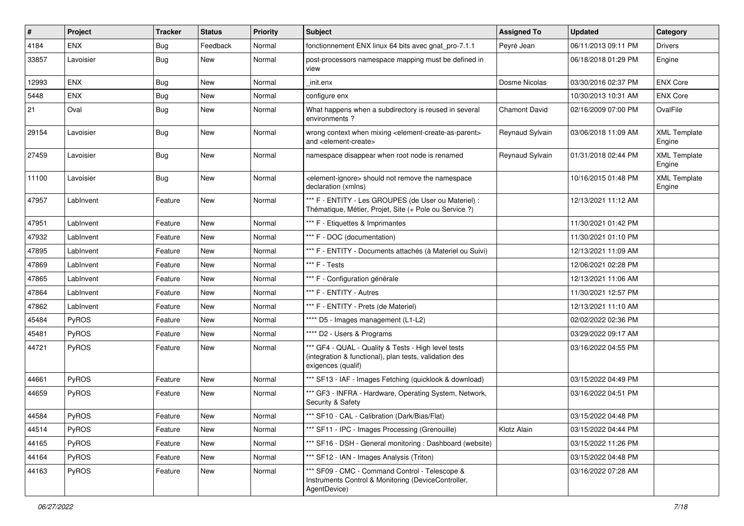| #     | Project    | <b>Tracker</b> | <b>Status</b> | <b>Priority</b> | <b>Subject</b>                                                                                                                      | <b>Assigned To</b> | <b>Updated</b>      | Category                      |
|-------|------------|----------------|---------------|-----------------|-------------------------------------------------------------------------------------------------------------------------------------|--------------------|---------------------|-------------------------------|
| 4184  | <b>ENX</b> | Bug            | Feedback      | Normal          | fonctionnement ENX linux 64 bits avec gnat_pro-7.1.1                                                                                | Peyré Jean         | 06/11/2013 09:11 PM | <b>Drivers</b>                |
| 33857 | Lavoisier  | Bug            | <b>New</b>    | Normal          | post-processors namespace mapping must be defined in<br>view                                                                        |                    | 06/18/2018 01:29 PM | Engine                        |
| 12993 | ENX        | Bug            | <b>New</b>    | Normal          | init.enx                                                                                                                            | Dosme Nicolas      | 03/30/2016 02:37 PM | <b>ENX Core</b>               |
| 5448  | <b>ENX</b> | Bug            | New           | Normal          | configure enx                                                                                                                       |                    | 10/30/2013 10:31 AM | <b>ENX Core</b>               |
| 21    | Oval       | Bug            | New           | Normal          | What happens when a subdirectory is reused in several<br>environments?                                                              | Chamont David      | 02/16/2009 07:00 PM | OvalFile                      |
| 29154 | Lavoisier  | Bug            | New           | Normal          | wrong context when mixing <element-create-as-parent><br/>and <element-create></element-create></element-create-as-parent>           | Reynaud Sylvain    | 03/06/2018 11:09 AM | <b>XML Template</b><br>Engine |
| 27459 | Lavoisier  | <b>Bug</b>     | <b>New</b>    | Normal          | namespace disappear when root node is renamed                                                                                       | Reynaud Sylvain    | 01/31/2018 02:44 PM | <b>XML Template</b><br>Engine |
| 11100 | Lavoisier  | Bug            | <b>New</b>    | Normal          | <element-ignore> should not remove the namespace<br/>declaration (xmlns)</element-ignore>                                           |                    | 10/16/2015 01:48 PM | <b>XML Template</b><br>Engine |
| 47957 | LabInvent  | Feature        | New           | Normal          | *** F - ENTITY - Les GROUPES (de User ou Materiel) :<br>Thématique, Métier, Projet, Site (+ Pole ou Service ?)                      |                    | 12/13/2021 11:12 AM |                               |
| 47951 | LabInvent  | Feature        | <b>New</b>    | Normal          | *** F - Etiquettes & Imprimantes                                                                                                    |                    | 11/30/2021 01:42 PM |                               |
| 47932 | LabInvent  | Feature        | New           | Normal          | *** F - DOC (documentation)                                                                                                         |                    | 11/30/2021 01:10 PM |                               |
| 47895 | LabInvent  | Feature        | New           | Normal          | *** F - ENTITY - Documents attachés (à Materiel ou Suivi)                                                                           |                    | 12/13/2021 11:09 AM |                               |
| 47869 | LabInvent  | Feature        | New           | Normal          | *** F - Tests                                                                                                                       |                    | 12/06/2021 02:28 PM |                               |
| 47865 | LabInvent  | Feature        | New           | Normal          | *** F - Configuration générale                                                                                                      |                    | 12/13/2021 11:06 AM |                               |
| 47864 | Lablnvent  | Feature        | <b>New</b>    | Normal          | *** F - ENTITY - Autres                                                                                                             |                    | 11/30/2021 12:57 PM |                               |
| 47862 | LabInvent  | Feature        | New           | Normal          | *** F - ENTITY - Prets (de Materiel)                                                                                                |                    | 12/13/2021 11:10 AM |                               |
| 45484 | PyROS      | Feature        | New           | Normal          | **** D5 - Images management (L1-L2)                                                                                                 |                    | 02/02/2022 02:36 PM |                               |
| 45481 | PyROS      | Feature        | New           | Normal          | **** D2 - Users & Programs                                                                                                          |                    | 03/29/2022 09:17 AM |                               |
| 44721 | PyROS      | Feature        | New           | Normal          | *** GF4 - QUAL - Quality & Tests - High level tests<br>(integration & functional), plan tests, validation des<br>exigences (qualif) |                    | 03/16/2022 04:55 PM |                               |
| 44661 | PyROS      | Feature        | <b>New</b>    | Normal          | *** SF13 - IAF - Images Fetching (quicklook & download)                                                                             |                    | 03/15/2022 04:49 PM |                               |
| 44659 | PyROS      | Feature        | <b>New</b>    | Normal          | *** GF3 - INFRA - Hardware, Operating System, Network,<br>Security & Safety                                                         |                    | 03/16/2022 04:51 PM |                               |
| 44584 | PyROS      | Feature        | New           | Normal          | *** SF10 - CAL - Calibration (Dark/Bias/Flat)                                                                                       |                    | 03/15/2022 04:48 PM |                               |
| 44514 | PyROS      | Feature        | New           | Normal          | *** SF11 - IPC - Images Processing (Grenouille)                                                                                     | Klotz Alain        | 03/15/2022 04:44 PM |                               |
| 44165 | PyROS      | Feature        | New           | Normal          | *** SF16 - DSH - General monitoring: Dashboard (website)                                                                            |                    | 03/15/2022 11:26 PM |                               |
| 44164 | PyROS      | Feature        | New           | Normal          | *** SF12 - IAN - Images Analysis (Triton)                                                                                           |                    | 03/15/2022 04:48 PM |                               |
| 44163 | PyROS      | Feature        | New           | Normal          | *** SF09 - CMC - Command Control - Telescope &<br>Instruments Control & Monitoring (DeviceController,<br>AgentDevice)               |                    | 03/16/2022 07:28 AM |                               |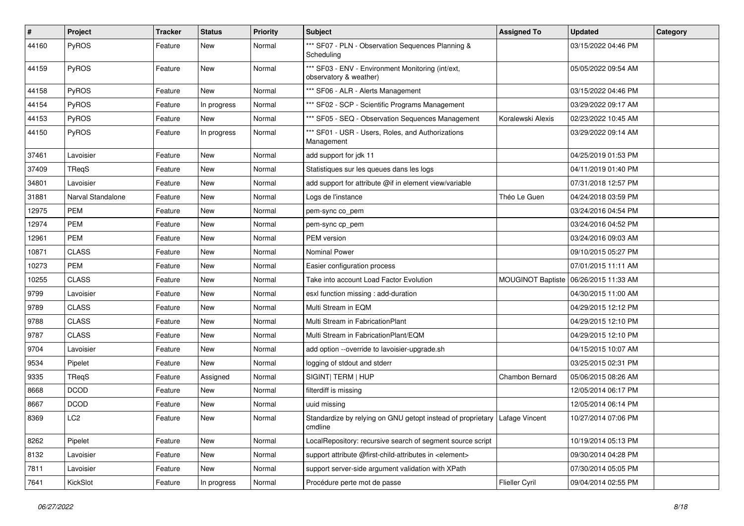| #     | Project           | <b>Tracker</b> | <b>Status</b> | <b>Priority</b> | Subject                                                                                 | <b>Assigned To</b>       | <b>Updated</b>      | Category |
|-------|-------------------|----------------|---------------|-----------------|-----------------------------------------------------------------------------------------|--------------------------|---------------------|----------|
| 44160 | PyROS             | Feature        | New           | Normal          | *** SF07 - PLN - Observation Sequences Planning &<br>Scheduling                         |                          | 03/15/2022 04:46 PM |          |
| 44159 | PyROS             | Feature        | New           | Normal          | *** SF03 - ENV - Environment Monitoring (int/ext,<br>observatory & weather)             |                          | 05/05/2022 09:54 AM |          |
| 44158 | PyROS             | Feature        | New           | Normal          | *** SF06 - ALR - Alerts Management                                                      |                          | 03/15/2022 04:46 PM |          |
| 44154 | <b>PyROS</b>      | Feature        | In progress   | Normal          | *** SF02 - SCP - Scientific Programs Management                                         |                          | 03/29/2022 09:17 AM |          |
| 44153 | PyROS             | Feature        | New           | Normal          | *** SF05 - SEQ - Observation Sequences Management                                       | Koralewski Alexis        | 02/23/2022 10:45 AM |          |
| 44150 | PyROS             | Feature        | In progress   | Normal          | *** SF01 - USR - Users, Roles, and Authorizations<br>Management                         |                          | 03/29/2022 09:14 AM |          |
| 37461 | Lavoisier         | Feature        | New           | Normal          | add support for jdk 11                                                                  |                          | 04/25/2019 01:53 PM |          |
| 37409 | TReqS             | Feature        | New           | Normal          | Statistiques sur les queues dans les logs                                               |                          | 04/11/2019 01:40 PM |          |
| 34801 | Lavoisier         | Feature        | New           | Normal          | add support for attribute @if in element view/variable                                  |                          | 07/31/2018 12:57 PM |          |
| 31881 | Narval Standalone | Feature        | New           | Normal          | Logs de l'instance                                                                      | Théo Le Guen             | 04/24/2018 03:59 PM |          |
| 12975 | <b>PEM</b>        | Feature        | New           | Normal          | pem-sync co_pem                                                                         |                          | 03/24/2016 04:54 PM |          |
| 12974 | <b>PEM</b>        | Feature        | New           | Normal          | pem-sync cp_pem                                                                         |                          | 03/24/2016 04:52 PM |          |
| 12961 | <b>PEM</b>        | Feature        | New           | Normal          | PEM version                                                                             |                          | 03/24/2016 09:03 AM |          |
| 10871 | <b>CLASS</b>      | Feature        | New           | Normal          | <b>Nominal Power</b>                                                                    |                          | 09/10/2015 05:27 PM |          |
| 10273 | <b>PEM</b>        | Feature        | New           | Normal          | Easier configuration process                                                            |                          | 07/01/2015 11:11 AM |          |
| 10255 | <b>CLASS</b>      | Feature        | New           | Normal          | Take into account Load Factor Evolution                                                 | <b>MOUGINOT Baptiste</b> | 06/26/2015 11:33 AM |          |
| 9799  | Lavoisier         | Feature        | New           | Normal          | esxl function missing : add-duration                                                    |                          | 04/30/2015 11:00 AM |          |
| 9789  | <b>CLASS</b>      | Feature        | New           | Normal          | Multi Stream in EQM                                                                     |                          | 04/29/2015 12:12 PM |          |
| 9788  | <b>CLASS</b>      | Feature        | New           | Normal          | Multi Stream in FabricationPlant                                                        |                          | 04/29/2015 12:10 PM |          |
| 9787  | <b>CLASS</b>      | Feature        | New           | Normal          | Multi Stream in FabricationPlant/EQM                                                    |                          | 04/29/2015 12:10 PM |          |
| 9704  | Lavoisier         | Feature        | New           | Normal          | add option --override to lavoisier-upgrade.sh                                           |                          | 04/15/2015 10:07 AM |          |
| 9534  | Pipelet           | Feature        | New           | Normal          | logging of stdout and stderr                                                            |                          | 03/25/2015 02:31 PM |          |
| 9335  | TReqS             | Feature        | Assigned      | Normal          | SIGINT  TERM   HUP                                                                      | Chambon Bernard          | 05/06/2015 08:26 AM |          |
| 8668  | <b>DCOD</b>       | Feature        | New           | Normal          | filterdiff is missing                                                                   |                          | 12/05/2014 06:17 PM |          |
| 8667  | <b>DCOD</b>       | Feature        | New           | Normal          | uuid missing                                                                            |                          | 12/05/2014 06:14 PM |          |
| 8369  | LC2               | Feature        | New           | Normal          | Standardize by relying on GNU getopt instead of proprietary   Lafage Vincent<br>cmdline |                          | 10/27/2014 07:06 PM |          |
| 8262  | Pipelet           | Feature        | New           | Normal          | LocalRepository: recursive search of segment source script                              |                          | 10/19/2014 05:13 PM |          |
| 8132  | Lavoisier         | Feature        | New           | Normal          | support attribute @first-child-attributes in <element></element>                        |                          | 09/30/2014 04:28 PM |          |
| 7811  | Lavoisier         | Feature        | New           | Normal          | support server-side argument validation with XPath                                      |                          | 07/30/2014 05:05 PM |          |
| 7641  | KickSlot          | Feature        | In progress   | Normal          | Procédure perte mot de passe                                                            | Flieller Cyril           | 09/04/2014 02:55 PM |          |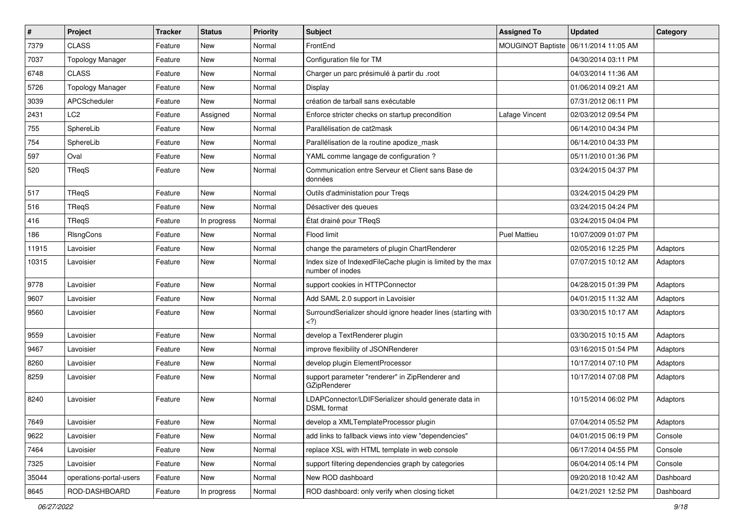| $\pmb{\#}$ | Project                 | <b>Tracker</b> | <b>Status</b> | <b>Priority</b> | Subject                                                                         | <b>Assigned To</b>       | <b>Updated</b>      | Category  |
|------------|-------------------------|----------------|---------------|-----------------|---------------------------------------------------------------------------------|--------------------------|---------------------|-----------|
| 7379       | <b>CLASS</b>            | Feature        | New           | Normal          | FrontEnd                                                                        | <b>MOUGINOT Baptiste</b> | 06/11/2014 11:05 AM |           |
| 7037       | <b>Topology Manager</b> | Feature        | <b>New</b>    | Normal          | Configuration file for TM                                                       |                          | 04/30/2014 03:11 PM |           |
| 6748       | <b>CLASS</b>            | Feature        | New           | Normal          | Charger un parc présimulé à partir du .root                                     |                          | 04/03/2014 11:36 AM |           |
| 5726       | <b>Topology Manager</b> | Feature        | New           | Normal          | Display                                                                         |                          | 01/06/2014 09:21 AM |           |
| 3039       | APCScheduler            | Feature        | <b>New</b>    | Normal          | création de tarball sans exécutable                                             |                          | 07/31/2012 06:11 PM |           |
| 2431       | LC <sub>2</sub>         | Feature        | Assigned      | Normal          | Enforce stricter checks on startup precondition                                 | Lafage Vincent           | 02/03/2012 09:54 PM |           |
| 755        | SphereLib               | Feature        | New           | Normal          | Parallélisation de cat2mask                                                     |                          | 06/14/2010 04:34 PM |           |
| 754        | SphereLib               | Feature        | New           | Normal          | Parallélisation de la routine apodize_mask                                      |                          | 06/14/2010 04:33 PM |           |
| 597        | Oval                    | Feature        | New           | Normal          | YAML comme langage de configuration?                                            |                          | 05/11/2010 01:36 PM |           |
| 520        | TReqS                   | Feature        | <b>New</b>    | Normal          | Communication entre Serveur et Client sans Base de<br>données                   |                          | 03/24/2015 04:37 PM |           |
| 517        | TReaS                   | Feature        | <b>New</b>    | Normal          | Outils d'administation pour Treqs                                               |                          | 03/24/2015 04:29 PM |           |
| 516        | <b>TRegS</b>            | Feature        | New           | Normal          | Désactiver des queues                                                           |                          | 03/24/2015 04:24 PM |           |
| 416        | <b>TReqS</b>            | Feature        | In progress   | Normal          | État drainé pour TReqS                                                          |                          | 03/24/2015 04:04 PM |           |
| 186        | RIsngCons               | Feature        | <b>New</b>    | Normal          | Flood limit                                                                     | <b>Puel Mattieu</b>      | 10/07/2009 01:07 PM |           |
| 11915      | Lavoisier               | Feature        | New           | Normal          | change the parameters of plugin ChartRenderer                                   |                          | 02/05/2016 12:25 PM | Adaptors  |
| 10315      | Lavoisier               | Feature        | New           | Normal          | Index size of IndexedFileCache plugin is limited by the max<br>number of inodes |                          | 07/07/2015 10:12 AM | Adaptors  |
| 9778       | Lavoisier               | Feature        | <b>New</b>    | Normal          | support cookies in HTTPConnector                                                |                          | 04/28/2015 01:39 PM | Adaptors  |
| 9607       | Lavoisier               | Feature        | New           | Normal          | Add SAML 2.0 support in Lavoisier                                               |                          | 04/01/2015 11:32 AM | Adaptors  |
| 9560       | Lavoisier               | Feature        | New           | Normal          | SurroundSerializer should ignore header lines (starting with<br>$\langle$ ?)    |                          | 03/30/2015 10:17 AM | Adaptors  |
| 9559       | Lavoisier               | Feature        | New           | Normal          | develop a TextRenderer plugin                                                   |                          | 03/30/2015 10:15 AM | Adaptors  |
| 9467       | Lavoisier               | Feature        | New           | Normal          | improve flexibility of JSONRenderer                                             |                          | 03/16/2015 01:54 PM | Adaptors  |
| 8260       | Lavoisier               | Feature        | New           | Normal          | develop plugin ElementProcessor                                                 |                          | 10/17/2014 07:10 PM | Adaptors  |
| 8259       | Lavoisier               | Feature        | New           | Normal          | support parameter "renderer" in ZipRenderer and<br><b>GZipRenderer</b>          |                          | 10/17/2014 07:08 PM | Adaptors  |
| 8240       | Lavoisier               | Feature        | New           | Normal          | LDAPConnector/LDIFSerializer should generate data in<br><b>DSML</b> format      |                          | 10/15/2014 06:02 PM | Adaptors  |
| 7649       | Lavoisier               | Feature        | New           | Normal          | develop a XMLTemplateProcessor plugin                                           |                          | 07/04/2014 05:52 PM | Adaptors  |
| 9622       | Lavoisier               | Feature        | New           | Normal          | add links to fallback views into view "dependencies"                            |                          | 04/01/2015 06:19 PM | Console   |
| 7464       | Lavoisier               | Feature        | New           | Normal          | replace XSL with HTML template in web console                                   |                          | 06/17/2014 04:55 PM | Console   |
| 7325       | Lavoisier               | Feature        | New           | Normal          | support filtering dependencies graph by categories                              |                          | 06/04/2014 05:14 PM | Console   |
| 35044      | operations-portal-users | Feature        | New           | Normal          | New ROD dashboard                                                               |                          | 09/20/2018 10:42 AM | Dashboard |
| 8645       | ROD-DASHBOARD           | Feature        | In progress   | Normal          | ROD dashboard: only verify when closing ticket                                  |                          | 04/21/2021 12:52 PM | Dashboard |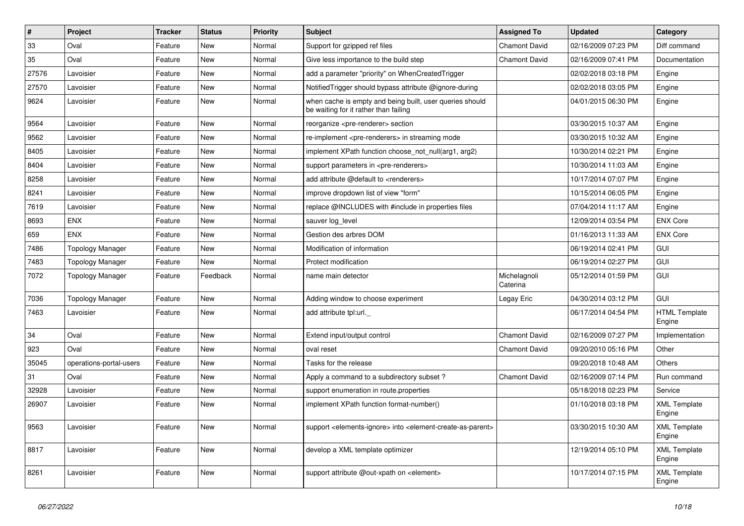| $\sharp$ | Project                 | Tracker | <b>Status</b> | <b>Priority</b> | <b>Subject</b>                                                                                         | <b>Assigned To</b>       | <b>Updated</b>      | Category                       |
|----------|-------------------------|---------|---------------|-----------------|--------------------------------------------------------------------------------------------------------|--------------------------|---------------------|--------------------------------|
| 33       | Oval                    | Feature | New           | Normal          | Support for gzipped ref files                                                                          | <b>Chamont David</b>     | 02/16/2009 07:23 PM | Diff command                   |
| 35       | Oval                    | Feature | <b>New</b>    | Normal          | Give less importance to the build step                                                                 | <b>Chamont David</b>     | 02/16/2009 07:41 PM | Documentation                  |
| 27576    | Lavoisier               | Feature | New           | Normal          | add a parameter "priority" on WhenCreatedTrigger                                                       |                          | 02/02/2018 03:18 PM | Engine                         |
| 27570    | Lavoisier               | Feature | New           | Normal          | Notified Trigger should bypass attribute @ignore-during                                                |                          | 02/02/2018 03:05 PM | Engine                         |
| 9624     | Lavoisier               | Feature | New           | Normal          | when cache is empty and being built, user queries should<br>be waiting for it rather than failing      |                          | 04/01/2015 06:30 PM | Engine                         |
| 9564     | Lavoisier               | Feature | <b>New</b>    | Normal          | reorganize <pre-renderer> section</pre-renderer>                                                       |                          | 03/30/2015 10:37 AM | Engine                         |
| 9562     | Lavoisier               | Feature | New           | Normal          | re-implement <pre-renderers> in streaming mode</pre-renderers>                                         |                          | 03/30/2015 10:32 AM | Engine                         |
| 8405     | Lavoisier               | Feature | New           | Normal          | implement XPath function choose_not_null(arg1, arg2)                                                   |                          | 10/30/2014 02:21 PM | Engine                         |
| 8404     | Lavoisier               | Feature | <b>New</b>    | Normal          | support parameters in <pre-renderers></pre-renderers>                                                  |                          | 10/30/2014 11:03 AM | Engine                         |
| 8258     | Lavoisier               | Feature | New           | Normal          | add attribute @default to <renderers></renderers>                                                      |                          | 10/17/2014 07:07 PM | Engine                         |
| 8241     | Lavoisier               | Feature | New           | Normal          | improve dropdown list of view "form"                                                                   |                          | 10/15/2014 06:05 PM | Engine                         |
| 7619     | Lavoisier               | Feature | New           | Normal          | replace @INCLUDES with #include in properties files                                                    |                          | 07/04/2014 11:17 AM | Engine                         |
| 8693     | <b>ENX</b>              | Feature | New           | Normal          | sauver log_level                                                                                       |                          | 12/09/2014 03:54 PM | <b>ENX Core</b>                |
| 659      | <b>ENX</b>              | Feature | <b>New</b>    | Normal          | Gestion des arbres DOM                                                                                 |                          | 01/16/2013 11:33 AM | <b>ENX Core</b>                |
| 7486     | Topology Manager        | Feature | New           | Normal          | Modification of information                                                                            |                          | 06/19/2014 02:41 PM | <b>GUI</b>                     |
| 7483     | Topology Manager        | Feature | New           | Normal          | Protect modification                                                                                   |                          | 06/19/2014 02:27 PM | <b>GUI</b>                     |
| 7072     | Topology Manager        | Feature | Feedback      | Normal          | name main detector                                                                                     | Michelagnoli<br>Caterina | 05/12/2014 01:59 PM | <b>GUI</b>                     |
| 7036     | <b>Topology Manager</b> | Feature | <b>New</b>    | Normal          | Adding window to choose experiment                                                                     | Legay Eric               | 04/30/2014 03:12 PM | <b>GUI</b>                     |
| 7463     | Lavoisier               | Feature | New           | Normal          | add attribute tpl:url.                                                                                 |                          | 06/17/2014 04:54 PM | <b>HTML Template</b><br>Engine |
| 34       | Oval                    | Feature | <b>New</b>    | Normal          | Extend input/output control                                                                            | <b>Chamont David</b>     | 02/16/2009 07:27 PM | Implementation                 |
| 923      | Oval                    | Feature | New           | Normal          | oval reset                                                                                             | Chamont David            | 09/20/2010 05:16 PM | Other                          |
| 35045    | operations-portal-users | Feature | New           | Normal          | Tasks for the release                                                                                  |                          | 09/20/2018 10:48 AM | <b>Others</b>                  |
| 31       | Oval                    | Feature | New           | Normal          | Apply a command to a subdirectory subset?                                                              | <b>Chamont David</b>     | 02/16/2009 07:14 PM | Run command                    |
| 32928    | Lavoisier               | Feature | New           | Normal          | support enumeration in route properties                                                                |                          | 05/18/2018 02:23 PM | Service                        |
| 26907    | Lavoisier               | Feature | <b>New</b>    | Normal          | implement XPath function format-number()                                                               |                          | 01/10/2018 03:18 PM | <b>XML Template</b><br>Engine  |
| 9563     | Lavoisier               | Feature | New           | Normal          | support <elements-ignore> into <element-create-as-parent></element-create-as-parent></elements-ignore> |                          | 03/30/2015 10:30 AM | <b>XML Template</b><br>Engine  |
| 8817     | Lavoisier               | Feature | New           | Normal          | develop a XML template optimizer                                                                       |                          | 12/19/2014 05:10 PM | <b>XML Template</b><br>Engine  |
| 8261     | Lavoisier               | Feature | New           | Normal          | support attribute @out-xpath on <element></element>                                                    |                          | 10/17/2014 07:15 PM | <b>XML Template</b><br>Engine  |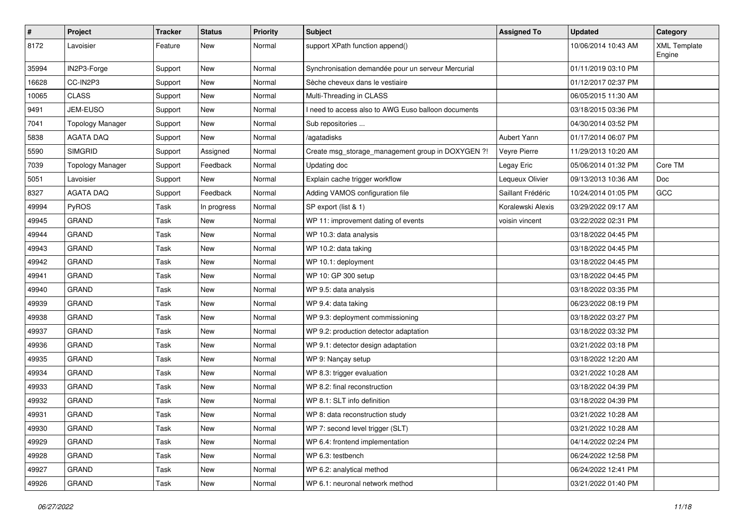| $\pmb{\#}$ | Project                 | <b>Tracker</b> | <b>Status</b> | <b>Priority</b> | <b>Subject</b>                                     | <b>Assigned To</b> | <b>Updated</b>      | Category                      |
|------------|-------------------------|----------------|---------------|-----------------|----------------------------------------------------|--------------------|---------------------|-------------------------------|
| 8172       | Lavoisier               | Feature        | New           | Normal          | support XPath function append()                    |                    | 10/06/2014 10:43 AM | <b>XML Template</b><br>Engine |
| 35994      | IN2P3-Forge             | Support        | New           | Normal          | Synchronisation demandée pour un serveur Mercurial |                    | 01/11/2019 03:10 PM |                               |
| 16628      | CC-IN2P3                | Support        | New           | Normal          | Sèche cheveux dans le vestiaire                    |                    | 01/12/2017 02:37 PM |                               |
| 10065      | <b>CLASS</b>            | Support        | New           | Normal          | Multi-Threading in CLASS                           |                    | 06/05/2015 11:30 AM |                               |
| 9491       | JEM-EUSO                | Support        | New           | Normal          | need to access also to AWG Euso balloon documents  |                    | 03/18/2015 03:36 PM |                               |
| 7041       | <b>Topology Manager</b> | Support        | New           | Normal          | Sub repositories                                   |                    | 04/30/2014 03:52 PM |                               |
| 5838       | <b>AGATA DAQ</b>        | Support        | New           | Normal          | /agatadisks                                        | Aubert Yann        | 01/17/2014 06:07 PM |                               |
| 5590       | <b>SIMGRID</b>          | Support        | Assigned      | Normal          | Create msg_storage_management group in DOXYGEN ?!  | Veyre Pierre       | 11/29/2013 10:20 AM |                               |
| 7039       | <b>Topology Manager</b> | Support        | Feedback      | Normal          | Updating doc                                       | Legay Eric         | 05/06/2014 01:32 PM | Core TM                       |
| 5051       | Lavoisier               | Support        | New           | Normal          | Explain cache trigger workflow                     | Lequeux Olivier    | 09/13/2013 10:36 AM | Doc                           |
| 8327       | <b>AGATA DAQ</b>        | Support        | Feedback      | Normal          | Adding VAMOS configuration file                    | Saillant Frédéric  | 10/24/2014 01:05 PM | GCC                           |
| 49994      | PyROS                   | Task           | In progress   | Normal          | SP export (list & 1)                               | Koralewski Alexis  | 03/29/2022 09:17 AM |                               |
| 49945      | <b>GRAND</b>            | Task           | New           | Normal          | WP 11: improvement dating of events                | voisin vincent     | 03/22/2022 02:31 PM |                               |
| 49944      | <b>GRAND</b>            | Task           | New           | Normal          | WP 10.3: data analysis                             |                    | 03/18/2022 04:45 PM |                               |
| 49943      | <b>GRAND</b>            | Task           | New           | Normal          | WP 10.2: data taking                               |                    | 03/18/2022 04:45 PM |                               |
| 49942      | <b>GRAND</b>            | Task           | <b>New</b>    | Normal          | WP 10.1: deployment                                |                    | 03/18/2022 04:45 PM |                               |
| 49941      | <b>GRAND</b>            | Task           | New           | Normal          | WP 10: GP 300 setup                                |                    | 03/18/2022 04:45 PM |                               |
| 49940      | <b>GRAND</b>            | Task           | <b>New</b>    | Normal          | WP 9.5: data analysis                              |                    | 03/18/2022 03:35 PM |                               |
| 49939      | <b>GRAND</b>            | Task           | New           | Normal          | WP 9.4: data taking                                |                    | 06/23/2022 08:19 PM |                               |
| 49938      | <b>GRAND</b>            | Task           | <b>New</b>    | Normal          | WP 9.3: deployment commissioning                   |                    | 03/18/2022 03:27 PM |                               |
| 49937      | <b>GRAND</b>            | Task           | <b>New</b>    | Normal          | WP 9.2: production detector adaptation             |                    | 03/18/2022 03:32 PM |                               |
| 49936      | <b>GRAND</b>            | Task           | New           | Normal          | WP 9.1: detector design adaptation                 |                    | 03/21/2022 03:18 PM |                               |
| 49935      | <b>GRAND</b>            | Task           | New           | Normal          | WP 9: Nançay setup                                 |                    | 03/18/2022 12:20 AM |                               |
| 49934      | <b>GRAND</b>            | Task           | New           | Normal          | WP 8.3: trigger evaluation                         |                    | 03/21/2022 10:28 AM |                               |
| 49933      | <b>GRAND</b>            | Task           | New           | Normal          | WP 8.2: final reconstruction                       |                    | 03/18/2022 04:39 PM |                               |
| 49932      | <b>GRAND</b>            | Task           | New           | Normal          | WP 8.1: SLT info definition                        |                    | 03/18/2022 04:39 PM |                               |
| 49931      | <b>GRAND</b>            | Task           | <b>New</b>    | Normal          | WP 8: data reconstruction study                    |                    | 03/21/2022 10:28 AM |                               |
| 49930      | GRAND                   | Task           | New           | Normal          | WP 7: second level trigger (SLT)                   |                    | 03/21/2022 10:28 AM |                               |
| 49929      | <b>GRAND</b>            | Task           | New           | Normal          | WP 6.4: frontend implementation                    |                    | 04/14/2022 02:24 PM |                               |
| 49928      | <b>GRAND</b>            | Task           | New           | Normal          | WP 6.3: testbench                                  |                    | 06/24/2022 12:58 PM |                               |
| 49927      | <b>GRAND</b>            | Task           | New           | Normal          | WP 6.2: analytical method                          |                    | 06/24/2022 12:41 PM |                               |
| 49926      | GRAND                   | Task           | New           | Normal          | WP 6.1: neuronal network method                    |                    | 03/21/2022 01:40 PM |                               |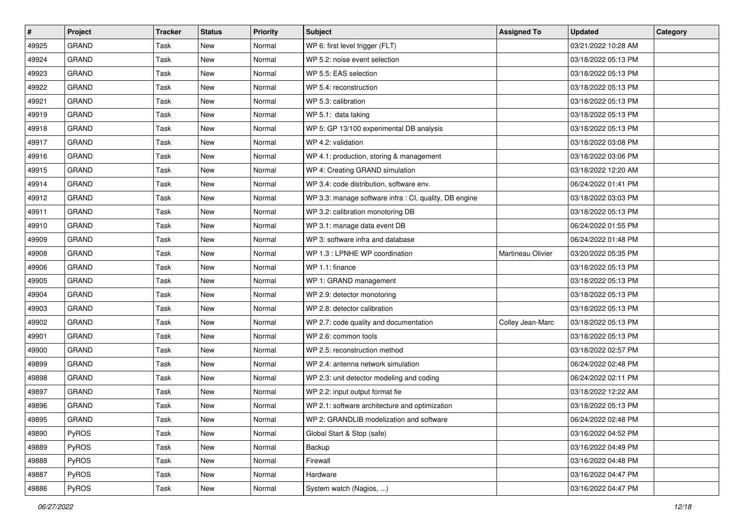| $\sharp$ | Project      | <b>Tracker</b> | <b>Status</b> | <b>Priority</b> | Subject                                                | <b>Assigned To</b> | <b>Updated</b>      | Category |
|----------|--------------|----------------|---------------|-----------------|--------------------------------------------------------|--------------------|---------------------|----------|
| 49925    | <b>GRAND</b> | Task           | New           | Normal          | WP 6: first level trigger (FLT)                        |                    | 03/21/2022 10:28 AM |          |
| 49924    | <b>GRAND</b> | Task           | New           | Normal          | WP 5.2: noise event selection                          |                    | 03/18/2022 05:13 PM |          |
| 49923    | GRAND        | Task           | New           | Normal          | WP 5.5: EAS selection                                  |                    | 03/18/2022 05:13 PM |          |
| 49922    | <b>GRAND</b> | Task           | New           | Normal          | WP 5.4: reconstruction                                 |                    | 03/18/2022 05:13 PM |          |
| 49921    | <b>GRAND</b> | Task           | New           | Normal          | WP 5.3: calibration                                    |                    | 03/18/2022 05:13 PM |          |
| 49919    | <b>GRAND</b> | Task           | New           | Normal          | WP 5.1: data taking                                    |                    | 03/18/2022 05:13 PM |          |
| 49918    | <b>GRAND</b> | Task           | New           | Normal          | WP 5: GP 13/100 experimental DB analysis               |                    | 03/18/2022 05:13 PM |          |
| 49917    | <b>GRAND</b> | Task           | New           | Normal          | WP 4.2: validation                                     |                    | 03/18/2022 03:08 PM |          |
| 49916    | <b>GRAND</b> | Task           | New           | Normal          | WP 4.1: production, storing & management               |                    | 03/18/2022 03:06 PM |          |
| 49915    | <b>GRAND</b> | Task           | New           | Normal          | WP 4: Creating GRAND simulation                        |                    | 03/18/2022 12:20 AM |          |
| 49914    | <b>GRAND</b> | Task           | New           | Normal          | WP 3.4: code distribution, software env.               |                    | 06/24/2022 01:41 PM |          |
| 49912    | <b>GRAND</b> | Task           | New           | Normal          | WP 3.3: manage software infra : CI, quality, DB engine |                    | 03/18/2022 03:03 PM |          |
| 49911    | <b>GRAND</b> | Task           | New           | Normal          | WP 3.2: calibration monotoring DB                      |                    | 03/18/2022 05:13 PM |          |
| 49910    | <b>GRAND</b> | Task           | New           | Normal          | WP 3.1: manage data event DB                           |                    | 06/24/2022 01:55 PM |          |
| 49909    | <b>GRAND</b> | Task           | New           | Normal          | WP 3: software infra and database                      |                    | 06/24/2022 01:48 PM |          |
| 49908    | GRAND        | Task           | New           | Normal          | WP 1.3 : LPNHE WP coordination                         | Martineau Olivier  | 03/20/2022 05:35 PM |          |
| 49906    | <b>GRAND</b> | Task           | New           | Normal          | WP 1.1: finance                                        |                    | 03/18/2022 05:13 PM |          |
| 49905    | <b>GRAND</b> | Task           | New           | Normal          | WP 1: GRAND management                                 |                    | 03/18/2022 05:13 PM |          |
| 49904    | <b>GRAND</b> | Task           | New           | Normal          | WP 2.9: detector monotoring                            |                    | 03/18/2022 05:13 PM |          |
| 49903    | <b>GRAND</b> | Task           | New           | Normal          | WP 2.8: detector calibration                           |                    | 03/18/2022 05:13 PM |          |
| 49902    | <b>GRAND</b> | Task           | New           | Normal          | WP 2.7: code quality and documentation                 | Colley Jean-Marc   | 03/18/2022 05:13 PM |          |
| 49901    | <b>GRAND</b> | Task           | New           | Normal          | WP 2.6: common tools                                   |                    | 03/18/2022 05:13 PM |          |
| 49900    | GRAND        | Task           | New           | Normal          | WP 2.5: reconstruction method                          |                    | 03/18/2022 02:57 PM |          |
| 49899    | <b>GRAND</b> | Task           | New           | Normal          | WP 2.4: antenna network simulation                     |                    | 06/24/2022 02:48 PM |          |
| 49898    | <b>GRAND</b> | Task           | New           | Normal          | WP 2.3: unit detector modeling and coding              |                    | 06/24/2022 02:11 PM |          |
| 49897    | <b>GRAND</b> | Task           | New           | Normal          | WP 2.2: input output format fie                        |                    | 03/18/2022 12:22 AM |          |
| 49896    | <b>GRAND</b> | Task           | <b>New</b>    | Normal          | WP 2.1: software architecture and optimization         |                    | 03/18/2022 05:13 PM |          |
| 49895    | GRAND        | Task           | New           | Normal          | WP 2: GRANDLIB modelization and software               |                    | 06/24/2022 02:48 PM |          |
| 49890    | <b>PyROS</b> | Task           | New           | Normal          | Global Start & Stop (safe)                             |                    | 03/16/2022 04:52 PM |          |
| 49889    | PyROS        | Task           | New           | Normal          | Backup                                                 |                    | 03/16/2022 04:49 PM |          |
| 49888    | PyROS        | Task           | New           | Normal          | Firewall                                               |                    | 03/16/2022 04:48 PM |          |
| 49887    | PyROS        | Task           | New           | Normal          | Hardware                                               |                    | 03/16/2022 04:47 PM |          |
| 49886    | PyROS        | Task           | New           | Normal          | System watch (Nagios, )                                |                    | 03/16/2022 04:47 PM |          |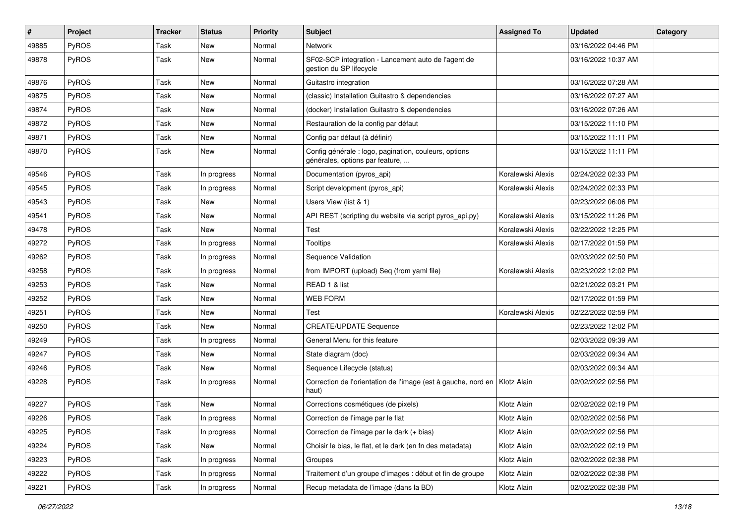| #     | <b>Project</b> | <b>Tracker</b> | <b>Status</b> | <b>Priority</b> | <b>Subject</b>                                                                           | <b>Assigned To</b> | <b>Updated</b>      | Category |
|-------|----------------|----------------|---------------|-----------------|------------------------------------------------------------------------------------------|--------------------|---------------------|----------|
| 49885 | PyROS          | Task           | New           | Normal          | Network                                                                                  |                    | 03/16/2022 04:46 PM |          |
| 49878 | PyROS          | Task           | New           | Normal          | SF02-SCP integration - Lancement auto de l'agent de<br>gestion du SP lifecycle           |                    | 03/16/2022 10:37 AM |          |
| 49876 | PyROS          | Task           | New           | Normal          | Guitastro integration                                                                    |                    | 03/16/2022 07:28 AM |          |
| 49875 | PyROS          | Task           | New           | Normal          | (classic) Installation Guitastro & dependencies                                          |                    | 03/16/2022 07:27 AM |          |
| 49874 | PyROS          | Task           | New           | Normal          | (docker) Installation Guitastro & dependencies                                           |                    | 03/16/2022 07:26 AM |          |
| 49872 | PyROS          | Task           | New           | Normal          | Restauration de la config par défaut                                                     |                    | 03/15/2022 11:10 PM |          |
| 49871 | <b>PyROS</b>   | Task           | New           | Normal          | Config par défaut (à définir)                                                            |                    | 03/15/2022 11:11 PM |          |
| 49870 | PyROS          | Task           | New           | Normal          | Config générale : logo, pagination, couleurs, options<br>générales, options par feature, |                    | 03/15/2022 11:11 PM |          |
| 49546 | PyROS          | Task           | In progress   | Normal          | Documentation (pyros_api)                                                                | Koralewski Alexis  | 02/24/2022 02:33 PM |          |
| 49545 | PyROS          | Task           | In progress   | Normal          | Script development (pyros_api)                                                           | Koralewski Alexis  | 02/24/2022 02:33 PM |          |
| 49543 | PyROS          | Task           | New           | Normal          | Users View (list & 1)                                                                    |                    | 02/23/2022 06:06 PM |          |
| 49541 | PyROS          | Task           | New           | Normal          | API REST (scripting du website via script pyros_api.py)                                  | Koralewski Alexis  | 03/15/2022 11:26 PM |          |
| 49478 | PyROS          | Task           | New           | Normal          | Test                                                                                     | Koralewski Alexis  | 02/22/2022 12:25 PM |          |
| 49272 | <b>PyROS</b>   | Task           | In progress   | Normal          | Tooltips                                                                                 | Koralewski Alexis  | 02/17/2022 01:59 PM |          |
| 49262 | PyROS          | Task           | In progress   | Normal          | Sequence Validation                                                                      |                    | 02/03/2022 02:50 PM |          |
| 49258 | PyROS          | Task           | In progress   | Normal          | from IMPORT (upload) Seq (from yaml file)                                                | Koralewski Alexis  | 02/23/2022 12:02 PM |          |
| 49253 | PyROS          | Task           | New           | Normal          | READ 1 & list                                                                            |                    | 02/21/2022 03:21 PM |          |
| 49252 | PyROS          | Task           | New           | Normal          | WEB FORM                                                                                 |                    | 02/17/2022 01:59 PM |          |
| 49251 | PyROS          | Task           | New           | Normal          | Test                                                                                     | Koralewski Alexis  | 02/22/2022 02:59 PM |          |
| 49250 | PyROS          | Task           | New           | Normal          | <b>CREATE/UPDATE Sequence</b>                                                            |                    | 02/23/2022 12:02 PM |          |
| 49249 | PyROS          | Task           | In progress   | Normal          | General Menu for this feature                                                            |                    | 02/03/2022 09:39 AM |          |
| 49247 | <b>PyROS</b>   | Task           | New           | Normal          | State diagram (doc)                                                                      |                    | 02/03/2022 09:34 AM |          |
| 49246 | PyROS          | Task           | <b>New</b>    | Normal          | Sequence Lifecycle (status)                                                              |                    | 02/03/2022 09:34 AM |          |
| 49228 | PyROS          | Task           | In progress   | Normal          | Correction de l'orientation de l'image (est à gauche, nord en   Klotz Alain<br>haut)     |                    | 02/02/2022 02:56 PM |          |
| 49227 | PyROS          | Task           | New           | Normal          | Corrections cosmétiques (de pixels)                                                      | Klotz Alain        | 02/02/2022 02:19 PM |          |
| 49226 | PyROS          | Task           | In progress   | Normal          | Correction de l'image par le flat                                                        | Klotz Alain        | 02/02/2022 02:56 PM |          |
| 49225 | PyROS          | Task           | In progress   | Normal          | Correction de l'image par le dark (+ bias)                                               | Klotz Alain        | 02/02/2022 02:56 PM |          |
| 49224 | PyROS          | Task           | New           | Normal          | Choisir le bias, le flat, et le dark (en fn des metadata)                                | Klotz Alain        | 02/02/2022 02:19 PM |          |
| 49223 | <b>PyROS</b>   | Task           | In progress   | Normal          | Groupes                                                                                  | Klotz Alain        | 02/02/2022 02:38 PM |          |
| 49222 | PyROS          | Task           | In progress   | Normal          | Traitement d'un groupe d'images : début et fin de groupe                                 | Klotz Alain        | 02/02/2022 02:38 PM |          |
| 49221 | PyROS          | Task           | In progress   | Normal          | Recup metadata de l'image (dans la BD)                                                   | Klotz Alain        | 02/02/2022 02:38 PM |          |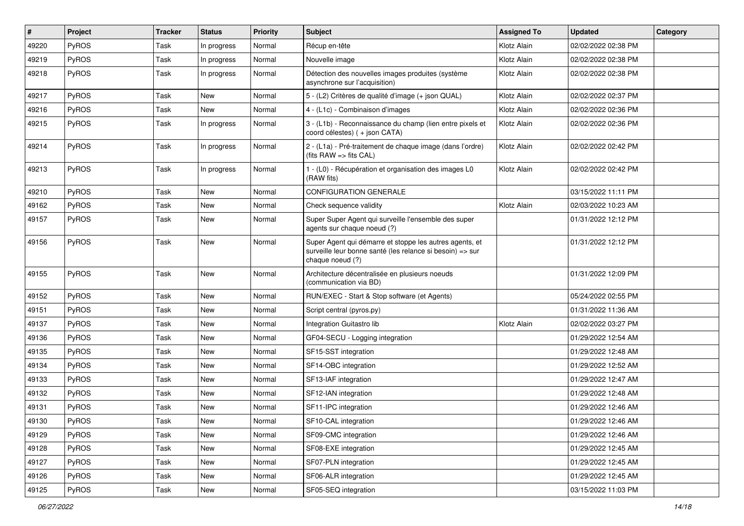| #     | Project      | <b>Tracker</b> | <b>Status</b> | <b>Priority</b> | <b>Subject</b>                                                                                                                           | <b>Assigned To</b> | <b>Updated</b>      | Category |
|-------|--------------|----------------|---------------|-----------------|------------------------------------------------------------------------------------------------------------------------------------------|--------------------|---------------------|----------|
| 49220 | PyROS        | Task           | In progress   | Normal          | Récup en-tête                                                                                                                            | Klotz Alain        | 02/02/2022 02:38 PM |          |
| 49219 | PyROS        | Task           | In progress   | Normal          | Nouvelle image                                                                                                                           | Klotz Alain        | 02/02/2022 02:38 PM |          |
| 49218 | PyROS        | Task           | In progress   | Normal          | Détection des nouvelles images produites (système<br>asynchrone sur l'acquisition)                                                       | Klotz Alain        | 02/02/2022 02:38 PM |          |
| 49217 | PyROS        | Task           | New           | Normal          | 5 - (L2) Critères de qualité d'image (+ json QUAL)                                                                                       | Klotz Alain        | 02/02/2022 02:37 PM |          |
| 49216 | <b>PyROS</b> | Task           | <b>New</b>    | Normal          | 4 - (L1c) - Combinaison d'images                                                                                                         | Klotz Alain        | 02/02/2022 02:36 PM |          |
| 49215 | PyROS        | Task           | In progress   | Normal          | 3 - (L1b) - Reconnaissance du champ (lien entre pixels et<br>coord célestes) (+ json CATA)                                               | Klotz Alain        | 02/02/2022 02:36 PM |          |
| 49214 | PyROS        | Task           | In progress   | Normal          | 2 - (L1a) - Pré-traitement de chaque image (dans l'ordre)<br>(fits RAW => fits CAL)                                                      | Klotz Alain        | 02/02/2022 02:42 PM |          |
| 49213 | PyROS        | Task           | In progress   | Normal          | 1 - (L0) - Récupération et organisation des images L0<br>(RAW fits)                                                                      | Klotz Alain        | 02/02/2022 02:42 PM |          |
| 49210 | PyROS        | Task           | New           | Normal          | <b>CONFIGURATION GENERALE</b>                                                                                                            |                    | 03/15/2022 11:11 PM |          |
| 49162 | PyROS        | Task           | New           | Normal          | Check sequence validity                                                                                                                  | Klotz Alain        | 02/03/2022 10:23 AM |          |
| 49157 | PyROS        | Task           | New           | Normal          | Super Super Agent qui surveille l'ensemble des super<br>agents sur chaque noeud (?)                                                      |                    | 01/31/2022 12:12 PM |          |
| 49156 | <b>PyROS</b> | Task           | New           | Normal          | Super Agent qui démarre et stoppe les autres agents, et<br>surveille leur bonne santé (les relance si besoin) => sur<br>chaque noeud (?) |                    | 01/31/2022 12:12 PM |          |
| 49155 | PyROS        | Task           | New           | Normal          | Architecture décentralisée en plusieurs noeuds<br>(communication via BD)                                                                 |                    | 01/31/2022 12:09 PM |          |
| 49152 | PyROS        | Task           | New           | Normal          | RUN/EXEC - Start & Stop software (et Agents)                                                                                             |                    | 05/24/2022 02:55 PM |          |
| 49151 | PyROS        | Task           | New           | Normal          | Script central (pyros.py)                                                                                                                |                    | 01/31/2022 11:36 AM |          |
| 49137 | PyROS        | Task           | New           | Normal          | Integration Guitastro lib                                                                                                                | Klotz Alain        | 02/02/2022 03:27 PM |          |
| 49136 | PyROS        | Task           | New           | Normal          | GF04-SECU - Logging integration                                                                                                          |                    | 01/29/2022 12:54 AM |          |
| 49135 | PyROS        | Task           | New           | Normal          | SF15-SST integration                                                                                                                     |                    | 01/29/2022 12:48 AM |          |
| 49134 | PyROS        | Task           | New           | Normal          | SF14-OBC integration                                                                                                                     |                    | 01/29/2022 12:52 AM |          |
| 49133 | PyROS        | Task           | New           | Normal          | SF13-IAF integration                                                                                                                     |                    | 01/29/2022 12:47 AM |          |
| 49132 | PyROS        | Task           | New           | Normal          | SF12-IAN integration                                                                                                                     |                    | 01/29/2022 12:48 AM |          |
| 49131 | PyROS        | Task           | New           | Normal          | SF11-IPC integration                                                                                                                     |                    | 01/29/2022 12:46 AM |          |
| 49130 | PyROS        | Task           | New           | Normal          | SF10-CAL integration                                                                                                                     |                    | 01/29/2022 12:46 AM |          |
| 49129 | PyROS        | Task           | New           | Normal          | SF09-CMC integration                                                                                                                     |                    | 01/29/2022 12:46 AM |          |
| 49128 | <b>PyROS</b> | Task           | New           | Normal          | SF08-EXE integration                                                                                                                     |                    | 01/29/2022 12:45 AM |          |
| 49127 | PyROS        | Task           | New           | Normal          | SF07-PLN integration                                                                                                                     |                    | 01/29/2022 12:45 AM |          |
| 49126 | PyROS        | Task           | New           | Normal          | SF06-ALR integration                                                                                                                     |                    | 01/29/2022 12:45 AM |          |
| 49125 | PyROS        | Task           | New           | Normal          | SF05-SEQ integration                                                                                                                     |                    | 03/15/2022 11:03 PM |          |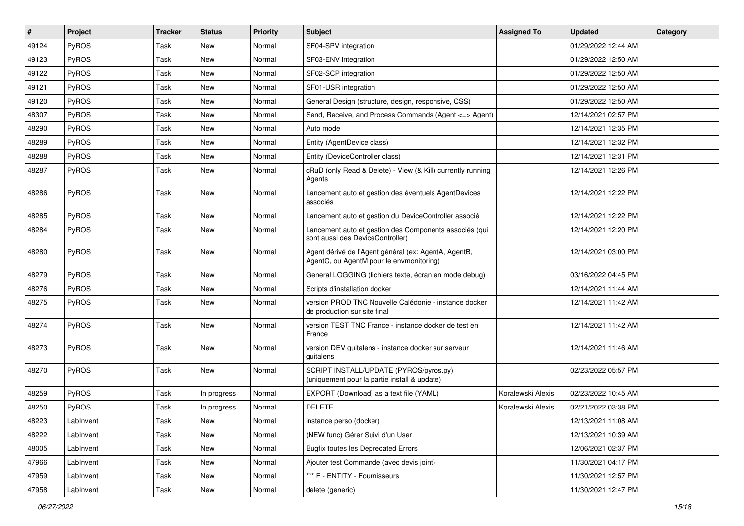| #     | Project      | <b>Tracker</b> | <b>Status</b> | <b>Priority</b> | Subject                                                                                          | <b>Assigned To</b> | <b>Updated</b>      | Category |
|-------|--------------|----------------|---------------|-----------------|--------------------------------------------------------------------------------------------------|--------------------|---------------------|----------|
| 49124 | PyROS        | Task           | New           | Normal          | SF04-SPV integration                                                                             |                    | 01/29/2022 12:44 AM |          |
| 49123 | PyROS        | Task           | New           | Normal          | SF03-ENV integration                                                                             |                    | 01/29/2022 12:50 AM |          |
| 49122 | PyROS        | Task           | New           | Normal          | SF02-SCP integration                                                                             |                    | 01/29/2022 12:50 AM |          |
| 49121 | PyROS        | Task           | New           | Normal          | SF01-USR integration                                                                             |                    | 01/29/2022 12:50 AM |          |
| 49120 | PyROS        | Task           | New           | Normal          | General Design (structure, design, responsive, CSS)                                              |                    | 01/29/2022 12:50 AM |          |
| 48307 | PyROS        | Task           | New           | Normal          | Send, Receive, and Process Commands (Agent <= > Agent)                                           |                    | 12/14/2021 02:57 PM |          |
| 48290 | PyROS        | Task           | New           | Normal          | Auto mode                                                                                        |                    | 12/14/2021 12:35 PM |          |
| 48289 | PyROS        | Task           | New           | Normal          | Entity (AgentDevice class)                                                                       |                    | 12/14/2021 12:32 PM |          |
| 48288 | PyROS        | Task           | New           | Normal          | Entity (DeviceController class)                                                                  |                    | 12/14/2021 12:31 PM |          |
| 48287 | PyROS        | Task           | New           | Normal          | cRuD (only Read & Delete) - View (& Kill) currently running<br>Agents                            |                    | 12/14/2021 12:26 PM |          |
| 48286 | PyROS        | Task           | New           | Normal          | Lancement auto et gestion des éventuels AgentDevices<br>associés                                 |                    | 12/14/2021 12:22 PM |          |
| 48285 | <b>PyROS</b> | Task           | New           | Normal          | Lancement auto et gestion du DeviceController associé                                            |                    | 12/14/2021 12:22 PM |          |
| 48284 | PyROS        | Task           | New           | Normal          | Lancement auto et gestion des Components associés (qui<br>sont aussi des DeviceController)       |                    | 12/14/2021 12:20 PM |          |
| 48280 | PyROS        | Task           | New           | Normal          | Agent dérivé de l'Agent général (ex: AgentA, AgentB,<br>AgentC, ou AgentM pour le envmonitoring) |                    | 12/14/2021 03:00 PM |          |
| 48279 | PyROS        | Task           | New           | Normal          | General LOGGING (fichiers texte, écran en mode debug)                                            |                    | 03/16/2022 04:45 PM |          |
| 48276 | PyROS        | Task           | New           | Normal          | Scripts d'installation docker                                                                    |                    | 12/14/2021 11:44 AM |          |
| 48275 | PyROS        | Task           | New           | Normal          | version PROD TNC Nouvelle Calédonie - instance docker<br>de production sur site final            |                    | 12/14/2021 11:42 AM |          |
| 48274 | PyROS        | Task           | New           | Normal          | version TEST TNC France - instance docker de test en<br>France                                   |                    | 12/14/2021 11:42 AM |          |
| 48273 | PyROS        | Task           | New           | Normal          | version DEV guitalens - instance docker sur serveur<br>guitalens                                 |                    | 12/14/2021 11:46 AM |          |
| 48270 | PyROS        | Task           | New           | Normal          | SCRIPT INSTALL/UPDATE (PYROS/pyros.py)<br>(uniquement pour la partie install & update)           |                    | 02/23/2022 05:57 PM |          |
| 48259 | PyROS        | Task           | In progress   | Normal          | EXPORT (Download) as a text file (YAML)                                                          | Koralewski Alexis  | 02/23/2022 10:45 AM |          |
| 48250 | PyROS        | Task           | In progress   | Normal          | <b>DELETE</b>                                                                                    | Koralewski Alexis  | 02/21/2022 03:38 PM |          |
| 48223 | LabInvent    | Task           | New           | Normal          | instance perso (docker)                                                                          |                    | 12/13/2021 11:08 AM |          |
| 48222 | LabInvent    | Task           | New           | Normal          | (NEW func) Gérer Suivi d'un User                                                                 |                    | 12/13/2021 10:39 AM |          |
| 48005 | LabInvent    | Task           | New           | Normal          | <b>Bugfix toutes les Deprecated Errors</b>                                                       |                    | 12/06/2021 02:37 PM |          |
| 47966 | Lablnvent    | Task           | New           | Normal          | Ajouter test Commande (avec devis joint)                                                         |                    | 11/30/2021 04:17 PM |          |
| 47959 | Lablnvent    | Task           | New           | Normal          | *** F - ENTITY - Fournisseurs                                                                    |                    | 11/30/2021 12:57 PM |          |
| 47958 | LabInvent    | Task           | New           | Normal          | delete (generic)                                                                                 |                    | 11/30/2021 12:47 PM |          |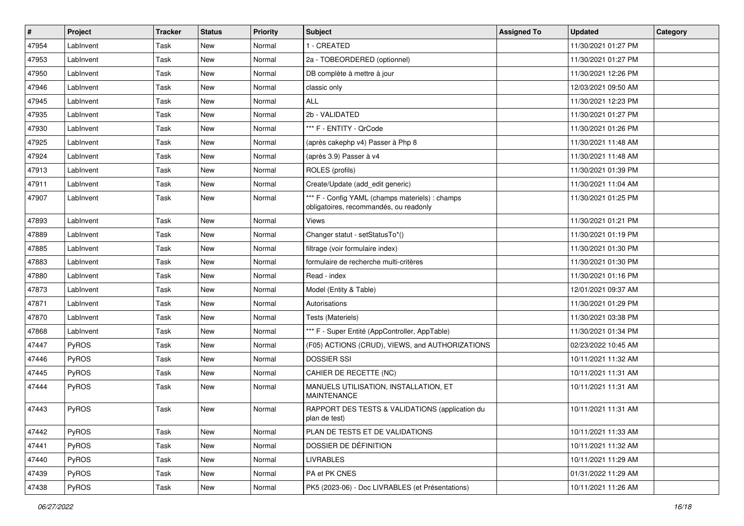| #     | Project      | <b>Tracker</b> | <b>Status</b> | <b>Priority</b> | Subject                                                                                   | <b>Assigned To</b> | <b>Updated</b>      | Category |
|-------|--------------|----------------|---------------|-----------------|-------------------------------------------------------------------------------------------|--------------------|---------------------|----------|
| 47954 | LabInvent    | Task           | New           | Normal          | 1 - CREATED                                                                               |                    | 11/30/2021 01:27 PM |          |
| 47953 | LabInvent    | Task           | New           | Normal          | 2a - TOBEORDERED (optionnel)                                                              |                    | 11/30/2021 01:27 PM |          |
| 47950 | LabInvent    | Task           | New           | Normal          | DB complète à mettre à jour                                                               |                    | 11/30/2021 12:26 PM |          |
| 47946 | LabInvent    | Task           | New           | Normal          | classic only                                                                              |                    | 12/03/2021 09:50 AM |          |
| 47945 | LabInvent    | Task           | New           | Normal          | <b>ALL</b>                                                                                |                    | 11/30/2021 12:23 PM |          |
| 47935 | LabInvent    | Task           | New           | Normal          | 2b - VALIDATED                                                                            |                    | 11/30/2021 01:27 PM |          |
| 47930 | LabInvent    | Task           | New           | Normal          | *** F - ENTITY - QrCode                                                                   |                    | 11/30/2021 01:26 PM |          |
| 47925 | LabInvent    | Task           | New           | Normal          | (après cakephp v4) Passer à Php 8                                                         |                    | 11/30/2021 11:48 AM |          |
| 47924 | LabInvent    | Task           | New           | Normal          | (après 3.9) Passer à v4                                                                   |                    | 11/30/2021 11:48 AM |          |
| 47913 | LabInvent    | Task           | New           | Normal          | ROLES (profils)                                                                           |                    | 11/30/2021 01:39 PM |          |
| 47911 | LabInvent    | Task           | New           | Normal          | Create/Update (add edit generic)                                                          |                    | 11/30/2021 11:04 AM |          |
| 47907 | LabInvent    | Task           | New           | Normal          | *** F - Config YAML (champs materiels) : champs<br>obligatoires, recommandés, ou readonly |                    | 11/30/2021 01:25 PM |          |
| 47893 | LabInvent    | Task           | New           | Normal          | Views                                                                                     |                    | 11/30/2021 01:21 PM |          |
| 47889 | LabInvent    | Task           | New           | Normal          | Changer statut - setStatusTo*()                                                           |                    | 11/30/2021 01:19 PM |          |
| 47885 | LabInvent    | Task           | New           | Normal          | filtrage (voir formulaire index)                                                          |                    | 11/30/2021 01:30 PM |          |
| 47883 | LabInvent    | Task           | New           | Normal          | formulaire de recherche multi-critères                                                    |                    | 11/30/2021 01:30 PM |          |
| 47880 | LabInvent    | Task           | New           | Normal          | Read - index                                                                              |                    | 11/30/2021 01:16 PM |          |
| 47873 | LabInvent    | Task           | New           | Normal          | Model (Entity & Table)                                                                    |                    | 12/01/2021 09:37 AM |          |
| 47871 | LabInvent    | Task           | <b>New</b>    | Normal          | Autorisations                                                                             |                    | 11/30/2021 01:29 PM |          |
| 47870 | LabInvent    | Task           | New           | Normal          | Tests (Materiels)                                                                         |                    | 11/30/2021 03:38 PM |          |
| 47868 | LabInvent    | Task           | New           | Normal          | *** F - Super Entité (AppController, AppTable)                                            |                    | 11/30/2021 01:34 PM |          |
| 47447 | PyROS        | Task           | <b>New</b>    | Normal          | (F05) ACTIONS (CRUD), VIEWS, and AUTHORIZATIONS                                           |                    | 02/23/2022 10:45 AM |          |
| 47446 | <b>PyROS</b> | Task           | New           | Normal          | <b>DOSSIER SSI</b>                                                                        |                    | 10/11/2021 11:32 AM |          |
| 47445 | PyROS        | Task           | New           | Normal          | CAHIER DE RECETTE (NC)                                                                    |                    | 10/11/2021 11:31 AM |          |
| 47444 | <b>PyROS</b> | Task           | New           | Normal          | MANUELS UTILISATION, INSTALLATION, ET<br><b>MAINTENANCE</b>                               |                    | 10/11/2021 11:31 AM |          |
| 47443 | PyROS        | Task           | New           | Normal          | RAPPORT DES TESTS & VALIDATIONS (application du<br>plan de test)                          |                    | 10/11/2021 11:31 AM |          |
| 47442 | PyROS        | Task           | New           | Normal          | PLAN DE TESTS ET DE VALIDATIONS                                                           |                    | 10/11/2021 11:33 AM |          |
| 47441 | PyROS        | Task           | New           | Normal          | DOSSIER DE DÉFINITION                                                                     |                    | 10/11/2021 11:32 AM |          |
| 47440 | PyROS        | Task           | New           | Normal          | <b>LIVRABLES</b>                                                                          |                    | 10/11/2021 11:29 AM |          |
| 47439 | PyROS        | Task           | New           | Normal          | PA et PK CNES                                                                             |                    | 01/31/2022 11:29 AM |          |
| 47438 | PyROS        | Task           | New           | Normal          | PK5 (2023-06) - Doc LIVRABLES (et Présentations)                                          |                    | 10/11/2021 11:26 AM |          |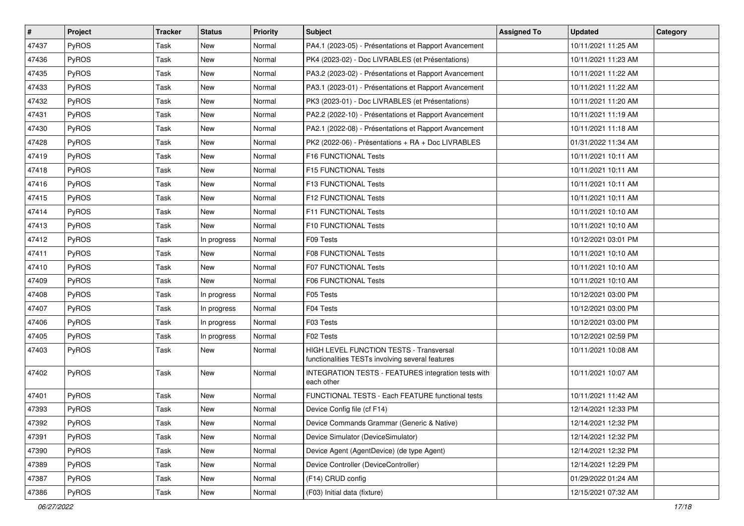| $\sharp$ | Project      | <b>Tracker</b> | <b>Status</b> | <b>Priority</b> | Subject                                                                                     | <b>Assigned To</b> | <b>Updated</b>      | Category |
|----------|--------------|----------------|---------------|-----------------|---------------------------------------------------------------------------------------------|--------------------|---------------------|----------|
| 47437    | PyROS        | Task           | <b>New</b>    | Normal          | PA4.1 (2023-05) - Présentations et Rapport Avancement                                       |                    | 10/11/2021 11:25 AM |          |
| 47436    | PyROS        | Task           | <b>New</b>    | Normal          | PK4 (2023-02) - Doc LIVRABLES (et Présentations)                                            |                    | 10/11/2021 11:23 AM |          |
| 47435    | PyROS        | Task           | New           | Normal          | PA3.2 (2023-02) - Présentations et Rapport Avancement                                       |                    | 10/11/2021 11:22 AM |          |
| 47433    | PyROS        | Task           | <b>New</b>    | Normal          | PA3.1 (2023-01) - Présentations et Rapport Avancement                                       |                    | 10/11/2021 11:22 AM |          |
| 47432    | PyROS        | Task           | <b>New</b>    | Normal          | PK3 (2023-01) - Doc LIVRABLES (et Présentations)                                            |                    | 10/11/2021 11:20 AM |          |
| 47431    | <b>PyROS</b> | Task           | New           | Normal          | PA2.2 (2022-10) - Présentations et Rapport Avancement                                       |                    | 10/11/2021 11:19 AM |          |
| 47430    | PyROS        | Task           | New           | Normal          | PA2.1 (2022-08) - Présentations et Rapport Avancement                                       |                    | 10/11/2021 11:18 AM |          |
| 47428    | PyROS        | Task           | New           | Normal          | PK2 (2022-06) - Présentations + RA + Doc LIVRABLES                                          |                    | 01/31/2022 11:34 AM |          |
| 47419    | PyROS        | Task           | <b>New</b>    | Normal          | F16 FUNCTIONAL Tests                                                                        |                    | 10/11/2021 10:11 AM |          |
| 47418    | PyROS        | Task           | <b>New</b>    | Normal          | F15 FUNCTIONAL Tests                                                                        |                    | 10/11/2021 10:11 AM |          |
| 47416    | <b>PyROS</b> | Task           | New           | Normal          | F13 FUNCTIONAL Tests                                                                        |                    | 10/11/2021 10:11 AM |          |
| 47415    | PyROS        | Task           | <b>New</b>    | Normal          | F12 FUNCTIONAL Tests                                                                        |                    | 10/11/2021 10:11 AM |          |
| 47414    | PyROS        | Task           | New           | Normal          | F11 FUNCTIONAL Tests                                                                        |                    | 10/11/2021 10:10 AM |          |
| 47413    | PyROS        | Task           | New           | Normal          | F10 FUNCTIONAL Tests                                                                        |                    | 10/11/2021 10:10 AM |          |
| 47412    | PyROS        | Task           | In progress   | Normal          | F09 Tests                                                                                   |                    | 10/12/2021 03:01 PM |          |
| 47411    | PyROS        | Task           | New           | Normal          | <b>F08 FUNCTIONAL Tests</b>                                                                 |                    | 10/11/2021 10:10 AM |          |
| 47410    | PyROS        | Task           | New           | Normal          | <b>F07 FUNCTIONAL Tests</b>                                                                 |                    | 10/11/2021 10:10 AM |          |
| 47409    | PyROS        | Task           | <b>New</b>    | Normal          | F06 FUNCTIONAL Tests                                                                        |                    | 10/11/2021 10:10 AM |          |
| 47408    | <b>PyROS</b> | Task           | In progress   | Normal          | F05 Tests                                                                                   |                    | 10/12/2021 03:00 PM |          |
| 47407    | PyROS        | Task           | In progress   | Normal          | F04 Tests                                                                                   |                    | 10/12/2021 03:00 PM |          |
| 47406    | PyROS        | Task           | In progress   | Normal          | F03 Tests                                                                                   |                    | 10/12/2021 03:00 PM |          |
| 47405    | PyROS        | Task           | In progress   | Normal          | F02 Tests                                                                                   |                    | 10/12/2021 02:59 PM |          |
| 47403    | PyROS        | Task           | <b>New</b>    | Normal          | HIGH LEVEL FUNCTION TESTS - Transversal<br>functionalities TESTs involving several features |                    | 10/11/2021 10:08 AM |          |
| 47402    | PyROS        | Task           | New           | Normal          | INTEGRATION TESTS - FEATURES integration tests with<br>each other                           |                    | 10/11/2021 10:07 AM |          |
| 47401    | PyROS        | Task           | New           | Normal          | FUNCTIONAL TESTS - Each FEATURE functional tests                                            |                    | 10/11/2021 11:42 AM |          |
| 47393    | PyROS        | Task           | New           | Normal          | Device Config file (cf F14)                                                                 |                    | 12/14/2021 12:33 PM |          |
| 47392    | PyROS        | Task           | New           | Normal          | Device Commands Grammar (Generic & Native)                                                  |                    | 12/14/2021 12:32 PM |          |
| 47391    | PyROS        | Task           | New           | Normal          | Device Simulator (DeviceSimulator)                                                          |                    | 12/14/2021 12:32 PM |          |
| 47390    | PyROS        | Task           | New           | Normal          | Device Agent (AgentDevice) (de type Agent)                                                  |                    | 12/14/2021 12:32 PM |          |
| 47389    | PyROS        | Task           | New           | Normal          | Device Controller (DeviceController)                                                        |                    | 12/14/2021 12:29 PM |          |
| 47387    | PyROS        | Task           | New           | Normal          | (F14) CRUD config                                                                           |                    | 01/29/2022 01:24 AM |          |
| 47386    | PyROS        | Task           | New           | Normal          | (F03) Initial data (fixture)                                                                |                    | 12/15/2021 07:32 AM |          |